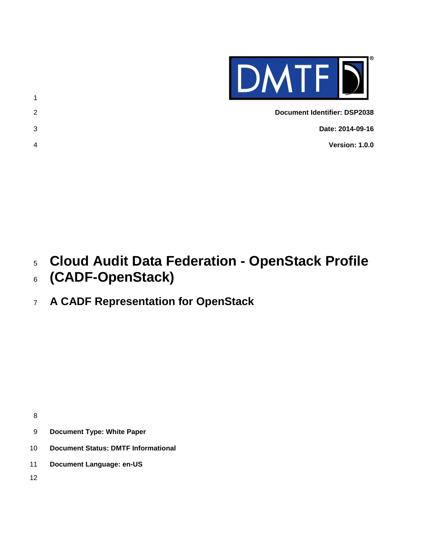

| <b>Document Identifier: DSP2038</b> | 2              |
|-------------------------------------|----------------|
| Date: 2014-09-16                    | 3              |
| Version: 1.0.0                      | $\overline{4}$ |
|                                     |                |

# **Cloud Audit Data Federation - OpenStack Profile (CADF-OpenStack)**

# **A CADF Representation for OpenStack**

- **Document Type: White Paper**
- **Document Status: DMTF Informational**
- **Document Language: en-US**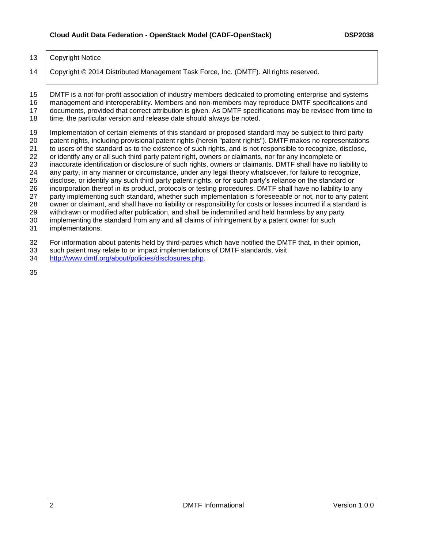#### 13 | Copyright Notice

14 | Copyright © 2014 Distributed Management Task Force, Inc. (DMTF). All rights reserved.

 DMTF is a not-for-profit association of industry members dedicated to promoting enterprise and systems management and interoperability. Members and non-members may reproduce DMTF specifications and documents, provided that correct attribution is given. As DMTF specifications may be revised from time to

time, the particular version and release date should always be noted.

Implementation of certain elements of this standard or proposed standard may be subject to third party

patent rights, including provisional patent rights (herein "patent rights"). DMTF makes no representations

21 to users of the standard as to the existence of such rights, and is not responsible to recognize, disclose,<br>22 or identify any or all such third party patent right, owners or claimants, nor for any incomplete or

 or identify any or all such third party patent right, owners or claimants, nor for any incomplete or inaccurate identification or disclosure of such rights, owners or claimants. DMTF shall have no liability to

any party, in any manner or circumstance, under any legal theory whatsoever, for failure to recognize,

disclose, or identify any such third party patent rights, or for such party's reliance on the standard or

incorporation thereof in its product, protocols or testing procedures. DMTF shall have no liability to any

party implementing such standard, whether such implementation is foreseeable or not, nor to any patent

owner or claimant, and shall have no liability or responsibility for costs or losses incurred if a standard is

withdrawn or modified after publication, and shall be indemnified and held harmless by any party

implementing the standard from any and all claims of infringement by a patent owner for such

implementations.

For information about patents held by third-parties which have notified the DMTF that, in their opinion,

such patent may relate to or impact implementations of DMTF standards, visit

[http://www.dmtf.org/about/policies/disclosures.php.](http://www.dmtf.org/about/policies/disclosures.php)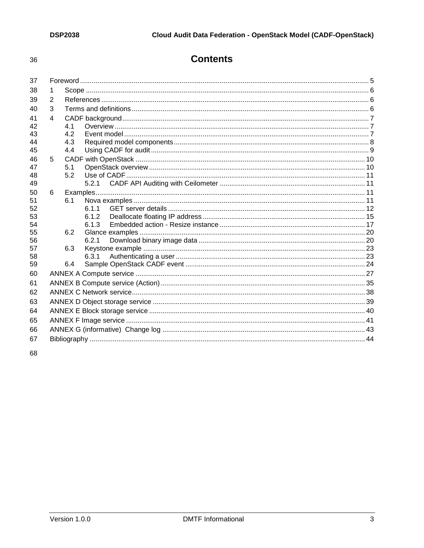#### 36

## **Contents**

| 37 |   |     |       |  |
|----|---|-----|-------|--|
| 38 | 1 |     |       |  |
| 39 | 2 |     |       |  |
| 40 | 3 |     |       |  |
| 41 | 4 |     |       |  |
| 42 |   | 4.1 |       |  |
| 43 |   | 4.2 |       |  |
| 44 |   | 4.3 |       |  |
| 45 |   | 4.4 |       |  |
| 46 | 5 |     |       |  |
| 47 |   | 5.1 |       |  |
| 48 |   | 5.2 |       |  |
| 49 |   |     |       |  |
| 50 | 6 |     |       |  |
| 51 |   | 6.1 |       |  |
| 52 |   |     | 6.1.1 |  |
| 53 |   |     | 6.1.2 |  |
| 54 |   |     | 6.1.3 |  |
| 55 |   | 6.2 |       |  |
| 56 |   |     | 6.2.1 |  |
| 57 |   | 6.3 |       |  |
| 58 |   |     | 6.3.1 |  |
| 59 |   | 6.4 |       |  |
| 60 |   |     |       |  |
| 61 |   |     |       |  |
| 62 |   |     |       |  |
| 63 |   |     |       |  |
| 64 |   |     |       |  |
| 65 |   |     |       |  |
| 66 |   |     |       |  |
| 67 |   |     |       |  |
|    |   |     |       |  |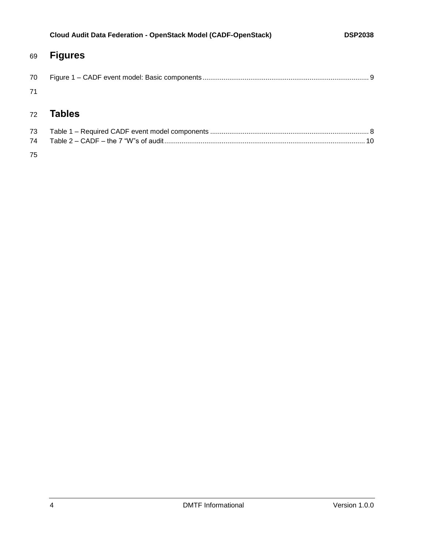|                 | <b>Cloud Audit Data Federation - OpenStack Model (CADF-OpenStack)</b> | <b>DSP2038</b> |
|-----------------|-----------------------------------------------------------------------|----------------|
| 69              | <b>Figures</b>                                                        |                |
| 70<br>71        |                                                                       |                |
| 72 <sub>2</sub> | <b>Tables</b>                                                         |                |
| 73<br>74        |                                                                       |                |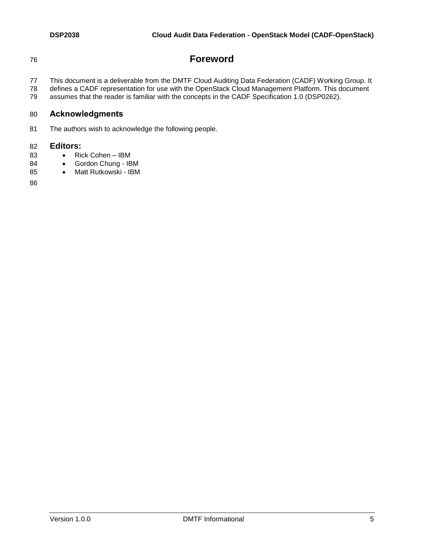## <span id="page-4-0"></span>76 **Foreword**

77 This document is a deliverable from the DMTF Cloud Auditing Data Federation (CADF) Working Group. It<br>78 defines a CADF representation for use with the OpenStack Cloud Management Platform. This document

defines a CADF representation for use with the OpenStack Cloud Management Platform. This document

79 assumes that the reader is familiar with the concepts in the CADF Specification 1.0 (DSP0262).

#### 80 **Acknowledgments**

81 The authors wish to acknowledge the following people.

#### 82 **Editors:**

- 83 Rick Cohen IBM
- 84 Gordon Chung IBM
- 85 Matt Rutkowski IBM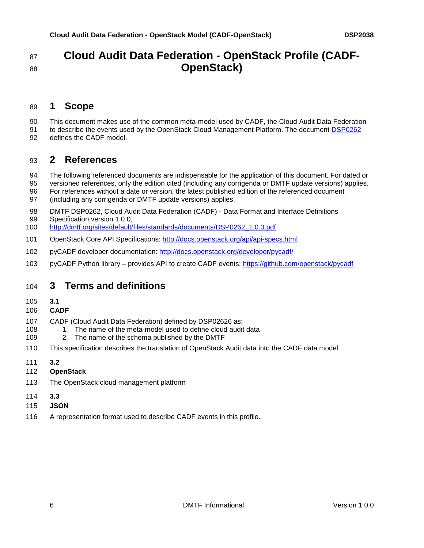## **Cloud Audit Data Federation - OpenStack Profile (CADF-OpenStack)**

## <span id="page-5-0"></span>**1 Scope**

- This document makes use of the common meta-model used by CADF, the Cloud Audit Data Federation
- 91 to describe the events used by the OpenStack Cloud Management Platform. The document [DSP0262](#page-5-3) defines the CADF model.

## <span id="page-5-1"></span>**2 References**

- The following referenced documents are indispensable for the application of this document. For dated or
- versioned references, only the edition cited (including any corrigenda or DMTF update versions) applies.
- For references without a date or version, the latest published edition of the referenced document
- (including any corrigenda or DMTF update versions) applies.
- <span id="page-5-3"></span>DMTF DSP0262, Cloud Audit Data Federation (CADF) - Data Format and Interface Definitions
- Specification version 1.0.0,
- [http://dmtf.org/sites/default/files/standards/documents/DSP0262\\_1.0.0.pdf](http://dmtf.org/sites/default/files/standards/documents/DSP0262_1.0.0.pdf)
- OpenStack Core API Specifications: <http://docs.openstack.org/api/api-specs.html>
- pyCADF developer documentation:<http://docs.openstack.org/developer/pycadf/>
- <span id="page-5-2"></span>pyCADF Python library – provides API to create CADF events: <https://github.com/openstack/pycadf>

## **3 Terms and definitions**

- **3.1**
- **CADF**
- CADF (Cloud Audit Data Federation) defined by DSP02626 as:
- 108 1. The name of the meta-model used to define cloud audit data
- 2. The name of the schema published by the DMTF
- This specification describes the translation of OpenStack Audit data into the CADF data model
- **3.2**
- **OpenStack**
- The OpenStack cloud management platform
- **3.3**
- **JSON**
- A representation format used to describe CADF events in this profile.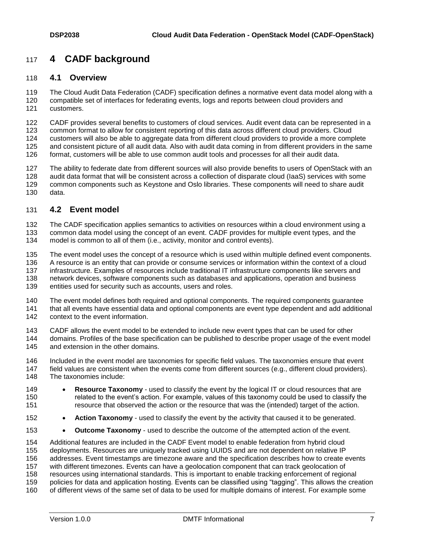## <span id="page-6-0"></span>**4 CADF background**

#### <span id="page-6-1"></span>**4.1 Overview**

 The Cloud Audit Data Federation (CADF) specification defines a normative event data model along with a compatible set of interfaces for federating events, logs and reports between cloud providers and

customers.

CADF provides several benefits to customers of cloud services. Audit event data can be represented in a

 common format to allow for consistent reporting of this data across different cloud providers. Cloud customers will also be able to aggregate data from different cloud providers to provide a more complete

and consistent picture of all audit data. Also with audit data coming in from different providers in the same

format, customers will be able to use common audit tools and processes for all their audit data.

The ability to federate date from different sources will also provide benefits to users of OpenStack with an

 audit data format that will be consistent across a collection of disparate cloud (IaaS) services with some common components such as Keystone and Oslo libraries. These components will need to share audit

<span id="page-6-2"></span>data.

#### **4.2 Event model**

 The CADF specification applies semantics to activities on resources within a cloud environment using a common data model using the concept of an event. CADF provides for multiple event types, and the

model is common to all of them (i.e., activity, monitor and control events).

The event model uses the concept of a resource which is used within multiple defined event components.

A resource is an entity that can provide or consume services or information within the context of a cloud

infrastructure. Examples of resources include traditional IT infrastructure components like servers and

network devices, software components such as databases and applications, operation and business

entities used for security such as accounts, users and roles.

 The event model defines both required and optional components. The required components guarantee that all events have essential data and optional components are event type dependent and add additional

context to the event information.

CADF allows the event model to be extended to include new event types that can be used for other

 domains. Profiles of the base specification can be published to describe proper usage of the event model and extension in the other domains.

 Included in the event model are taxonomies for specific field values. The taxonomies ensure that event field values are consistent when the events come from different sources (e.g., different cloud providers). The taxonomies include:

- **Resource Taxonomy** used to classify the event by the logical IT or cloud resources that are related to the event's action. For example, values of this taxonomy could be used to classify the resource that observed the action or the resource that was the (intended) target of the action.
- **Action Taxonomy** used to classify the event by the activity that caused it to be generated.
- **Outcome Taxonomy** used to describe the outcome of the attempted action of the event.

 Additional features are included in the CADF Event model to enable federation from hybrid cloud deployments. Resources are uniquely tracked using UUIDS and are not dependent on relative IP addresses. Event timestamps are timezone aware and the specification describes how to create events with different timezones. Events can have a geolocation component that can track geolocation of resources using international standards. This is important to enable tracking enforcement of regional policies for data and application hosting. Events can be classified using "tagging". This allows the creation of different views of the same set of data to be used for multiple domains of interest. For example some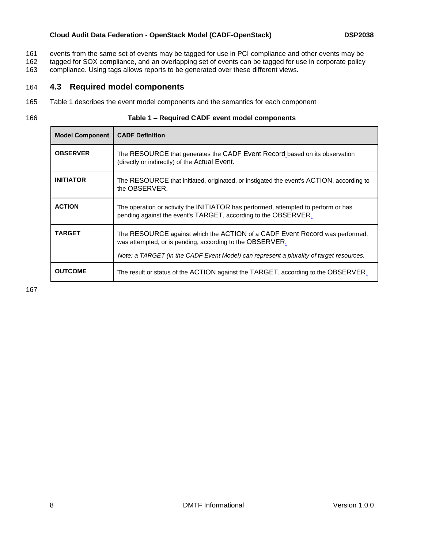#### **Cloud Audit Data Federation - OpenStack Model (CADF-OpenStack) DSP2038**

- 161 events from the same set of events may be tagged for use in PCI compliance and other events may be
- 162 tagged for SOX compliance, and an overlapping set of events can be tagged for use in corporate policy
- 163 compliance. Using tags allows reports to be generated over these different views.

#### <span id="page-7-0"></span>164 **4.3 Required model components**

- 165 [Table 1](#page-7-1) describes the event model components and the semantics for each component
- 

166 **Table 1 – Required CADF event model components**

<span id="page-7-1"></span>

| <b>Model Component</b> | <b>CADF Definition</b>                                                                                                                               |
|------------------------|------------------------------------------------------------------------------------------------------------------------------------------------------|
| <b>OBSERVER</b>        | The RESOURCE that generates the CADF Event Record based on its observation<br>(directly or indirectly) of the Actual Event.                          |
| <b>INITIATOR</b>       | The RESOURCE that initiated, originated, or instigated the event's ACTION, according to<br>the OBSERVER.                                             |
| <b>ACTION</b>          | The operation or activity the INITIATOR has performed, attempted to perform or has<br>pending against the event's TARGET, according to the OBSERVER. |
| <b>TARGET</b>          | The RESOURCE against which the ACTION of a CADF Event Record was performed,<br>was attempted, or is pending, according to the OBSERVER.              |
|                        | Note: a TARGET (in the CADF Event Model) can represent a plurality of target resources.                                                              |
| <b>OUTCOME</b>         | The result or status of the ACTION against the TARGET, according to the OBSERVER.                                                                    |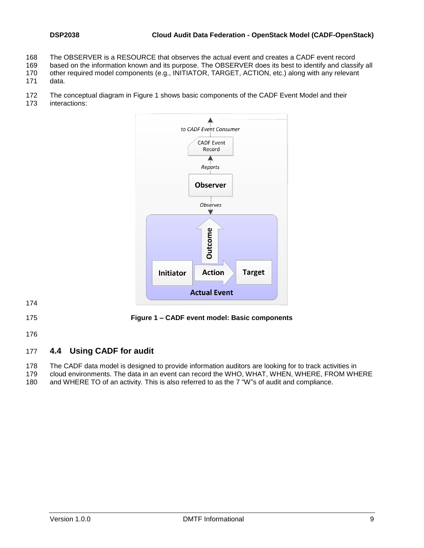The OBSERVER is a RESOURCE that observes the actual event and creates a CADF event record

based on the information known and its purpose. The OBSERVER does its best to identify and classify all

- other required model components (e.g., INITIATOR, TARGET, ACTION, etc.) along with any relevant
- data.
- The conceptual diagram in [Figure 1](#page-8-1) shows basic components of the CADF Event Model and their
- interactions:



<span id="page-8-1"></span>

**Figure 1 – CADF event model: Basic components**

<span id="page-8-0"></span>

#### **4.4 Using CADF for audit**

The CADF data model is designed to provide information auditors are looking for to track activities in

cloud environments. The data in an event can record the WHO, WHAT, WHEN, WHERE, FROM WHERE

and WHERE TO of an activity. This is also referred to as the 7 "W"s of audit and compliance.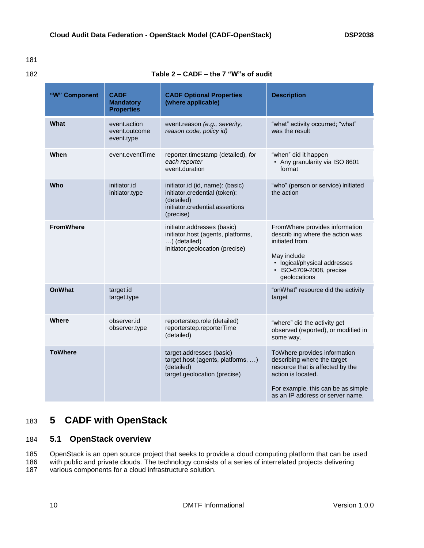181

#### 182 **Table 2 – CADF – the 7 "W"s of audit**

<span id="page-9-2"></span>

| "W" Component    | <b>CADF</b><br><b>Mandatory</b><br><b>Properties</b> | <b>CADF Optional Properties</b><br>(where applicable)                                                                           | <b>Description</b>                                                                                                                                                                              |
|------------------|------------------------------------------------------|---------------------------------------------------------------------------------------------------------------------------------|-------------------------------------------------------------------------------------------------------------------------------------------------------------------------------------------------|
| What             | event.action<br>event.outcome<br>event.type          | event.reason (e.g., severity,<br>reason code, policy id)                                                                        | "what" activity occurred; "what"<br>was the result                                                                                                                                              |
| When             | event.eventTime                                      | reporter.timestamp (detailed), for<br>each reporter<br>event.duration                                                           | "when" did it happen<br>• Any granularity via ISO 8601<br>format                                                                                                                                |
| Who              | initiator.id<br>initiator.type                       | initiator.id (id, name): (basic)<br>initiator.credential (token):<br>(detailed)<br>initiator.credential.assertions<br>(precise) | "who" (person or service) initiated<br>the action                                                                                                                                               |
| <b>FromWhere</b> |                                                      | initiator.addresses (basic)<br>initiator.host (agents, platforms,<br>$\ldots$ ) (detailed)<br>Initiator.geolocation (precise)   | FromWhere provides information<br>describ ing where the action was<br>initiated from.<br>May include<br>• logical/physical addresses<br>• ISO-6709-2008, precise<br>geolocations                |
| <b>OnWhat</b>    | target.id<br>target.type                             |                                                                                                                                 | "onWhat" resource did the activity<br>target                                                                                                                                                    |
| <b>Where</b>     | observer.id<br>observer.type                         | reporterstep.role (detailed)<br>reporterstep.reporterTime<br>(detailed)                                                         | "where" did the activity get<br>observed (reported), or modified in<br>some way.                                                                                                                |
| <b>ToWhere</b>   |                                                      | target.addresses (basic)<br>target.host (agents, platforms, )<br>(detailed)<br>target.geolocation (precise)                     | ToWhere provides information<br>describing where the target<br>resource that is affected by the<br>action is located.<br>For example, this can be as simple<br>as an IP address or server name. |

## <span id="page-9-0"></span>183 **5 CADF with OpenStack**

#### <span id="page-9-1"></span>184 **5.1 OpenStack overview**

185 OpenStack is an open source project that seeks to provide a cloud computing platform that can be used 186 with public and private clouds. The technology consists of a series of interrelated projects delivering

187 various components for a cloud infrastructure solution.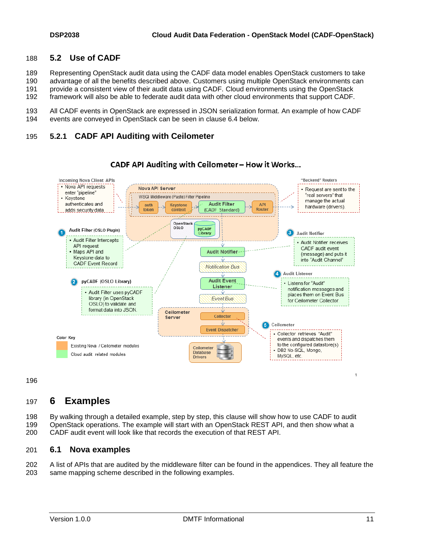#### <span id="page-10-0"></span>**5.2 Use of CADF**

Representing OpenStack audit data using the CADF data model enables OpenStack customers to take

advantage of all the benefits described above. Customers using multiple OpenStack environments can

 provide a consistent view of their audit data using CADF. Cloud environments using the OpenStack framework will also be able to federate audit data with other cloud environments that support CADF.

 All CADF events in OpenStack are expressed in JSON serialization format. An example of how CADF events are conveyed in OpenStack can be seen in clause [6.4](#page-23-0) below.

#### <span id="page-10-1"></span>**5.2.1 CADF API Auditing with Ceilometer**



#### CADF API Auditing with Ceilometer-How it Works...

<span id="page-10-2"></span>

### **6 Examples**

 By walking through a detailed example, step by step, this clause will show how to use CADF to audit OpenStack operations. The example will start with an OpenStack REST API, and then show what a

<span id="page-10-3"></span>CADF audit event will look like that records the execution of that REST API.

#### **6.1 Nova examples**

 A list of APIs that are audited by the middleware filter can be found in the appendices. They all feature the same mapping scheme described in the following examples.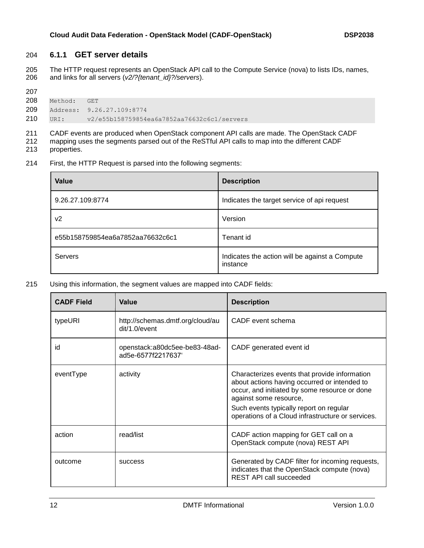#### <span id="page-11-0"></span>204 **6.1.1 GET server details**

205 The HTTP request represents an OpenStack API call to the Compute Service (nova) to lists IDs, names, 206 and links for all servers (*v2/?{tenant\_id}?/servers*).

207

| 208 | Method: | GE.T                                          |
|-----|---------|-----------------------------------------------|
| 209 |         | Address: 9.26.27.109:8774                     |
| 210 | IJRT:   | $v2/e55b158759854ea6a7852aa76632c6c1/servers$ |

- 211 CADF events are produced when OpenStack component API calls are made. The OpenStack CADF
- 212 mapping uses the segments parsed out of the ReSTful API calls to map into the different CADF<br>213 properties.
- properties.
- 214 First, the HTTP Request is parsed into the following segments:

| <b>Value</b>                     | <b>Description</b>                                         |
|----------------------------------|------------------------------------------------------------|
| 9.26.27.109:8774                 | Indicates the target service of api request                |
| v2                               | Version                                                    |
| e55b158759854ea6a7852aa76632c6c1 | Tenant id                                                  |
| <b>Servers</b>                   | Indicates the action will be against a Compute<br>instance |

215 Using this information, the segment values are mapped into CADF fields:

| <b>CADF Field</b> | Value                                               | <b>Description</b>                                                                                                                                                                                                                                                       |
|-------------------|-----------------------------------------------------|--------------------------------------------------------------------------------------------------------------------------------------------------------------------------------------------------------------------------------------------------------------------------|
| typeURI           | http://schemas.dmtf.org/cloud/au<br>dit/1.0/event   | CADF event schema                                                                                                                                                                                                                                                        |
| id                | openstack:a80dc5ee-be83-48ad-<br>ad5e-6577f2217637' | CADF generated event id                                                                                                                                                                                                                                                  |
| eventType         | activity                                            | Characterizes events that provide information<br>about actions having occurred or intended to<br>occur, and initiated by some resource or done<br>against some resource,<br>Such events typically report on regular<br>operations of a Cloud infrastructure or services. |
| action            | read/list                                           | CADF action mapping for GET call on a<br>OpenStack compute (nova) REST API                                                                                                                                                                                               |
| outcome           | success                                             | Generated by CADF filter for incoming requests,<br>indicates that the OpenStack compute (nova)<br><b>REST API call succeeded</b>                                                                                                                                         |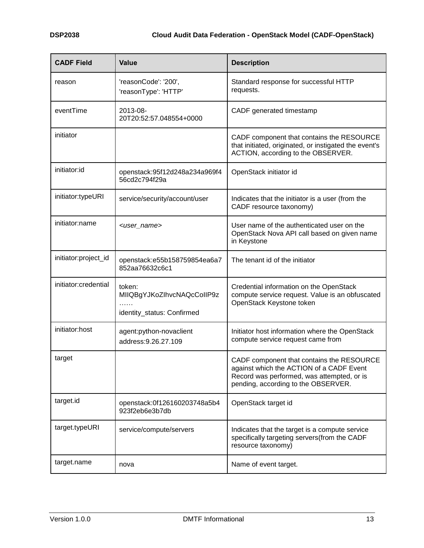| <b>CADF Field</b>    | <b>Value</b>                                                       | <b>Description</b>                                                                                                                                                         |
|----------------------|--------------------------------------------------------------------|----------------------------------------------------------------------------------------------------------------------------------------------------------------------------|
| reason               | 'reasonCode': '200',<br>'reasonType': 'HTTP'                       | Standard response for successful HTTP<br>requests.                                                                                                                         |
| eventTime            | 2013-08-<br>20T20:52:57.048554+0000                                | CADF generated timestamp                                                                                                                                                   |
| initiator            |                                                                    | CADF component that contains the RESOURCE<br>that initiated, originated, or instigated the event's<br>ACTION, according to the OBSERVER.                                   |
| initiator:id         | openstack:95f12d248a234a969f4<br>56cd2c794f29a                     | OpenStack initiator id                                                                                                                                                     |
| initiator:typeURI    | service/security/account/user                                      | Indicates that the initiator is a user (from the<br>CADF resource taxonomy)                                                                                                |
| initiator:name       | <user_name></user_name>                                            | User name of the authenticated user on the<br>OpenStack Nova API call based on given name<br>in Keystone                                                                   |
| initiator:project_id | openstack:e55b158759854ea6a7<br>852aa76632c6c1                     | The tenant id of the initiator                                                                                                                                             |
| initiator:credential | token:<br>MIIQBgYJKoZIhvcNAQcCoIIP9z<br>identity_status: Confirmed | Credential information on the OpenStack<br>compute service request. Value is an obfuscated<br>OpenStack Keystone token                                                     |
| initiator:host       | agent:python-novaclient<br>address: 9.26.27.109                    | Initiator host information where the OpenStack<br>compute service request came from                                                                                        |
| target               |                                                                    | CADF component that contains the RESOURCE<br>against which the ACTION of a CADF Event<br>Record was performed, was attempted, or is<br>pending, according to the OBSERVER. |
| target.id            | openstack:0f126160203748a5b4<br>923f2eb6e3b7db                     | OpenStack target id                                                                                                                                                        |
| target.typeURI       | service/compute/servers                                            | Indicates that the target is a compute service<br>specifically targeting servers(from the CADF<br>resource taxonomy)                                                       |
| target.name          | nova                                                               | Name of event target.                                                                                                                                                      |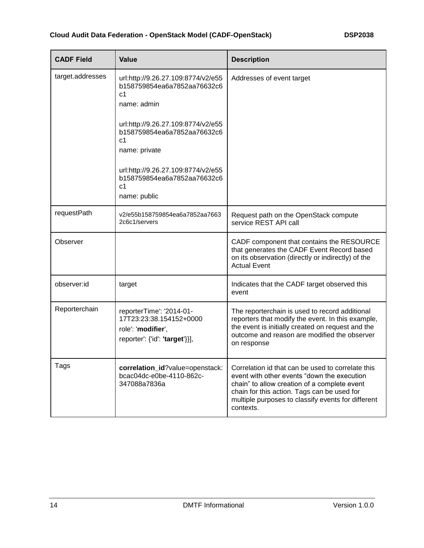#### **Cloud Audit Data Federation - OpenStack Model (CADF-OpenStack) DSP2038**

| <b>CADF Field</b> | <b>Value</b>                                                                                                                                                                                                                                                                              | <b>Description</b>                                                                                                                                                                                                                                                 |
|-------------------|-------------------------------------------------------------------------------------------------------------------------------------------------------------------------------------------------------------------------------------------------------------------------------------------|--------------------------------------------------------------------------------------------------------------------------------------------------------------------------------------------------------------------------------------------------------------------|
| target.addresses  | url:http://9.26.27.109:8774/v2/e55<br>b158759854ea6a7852aa76632c6<br>c <sub>1</sub><br>name: admin<br>url:http://9.26.27.109:8774/v2/e55<br>b158759854ea6a7852aa76632c6<br>c1<br>name: private<br>url:http://9.26.27.109:8774/v2/e55<br>b158759854ea6a7852aa76632c6<br>c1<br>name: public | Addresses of event target                                                                                                                                                                                                                                          |
| requestPath       | v2/e55b158759854ea6a7852aa7663<br>2c6c1/servers                                                                                                                                                                                                                                           | Request path on the OpenStack compute<br>service REST API call                                                                                                                                                                                                     |
| Observer          |                                                                                                                                                                                                                                                                                           | CADF component that contains the RESOURCE<br>that generates the CADF Event Record based<br>on its observation (directly or indirectly) of the<br><b>Actual Event</b>                                                                                               |
| observer:id       | target                                                                                                                                                                                                                                                                                    | Indicates that the CADF target observed this<br>event                                                                                                                                                                                                              |
| Reporterchain     | reporterTime': '2014-01-<br>17T23:23:38.154152+0000<br>role': 'modifier',<br>reporter': {'id': 'target'}}],                                                                                                                                                                               | The reporterchain is used to record additional<br>reporters that modify the event. In this example,<br>the event is initially created on request and the<br>outcome and reason are modified the observer<br>on response                                            |
| Tags              | correlation_id?value=openstack:<br>bcac04dc-e0be-4110-862c-<br>347088a7836a                                                                                                                                                                                                               | Correlation id that can be used to correlate this<br>event with other events "down the execution<br>chain" to allow creation of a complete event<br>chain for this action. Tags can be used for<br>multiple purposes to classify events for different<br>contexts. |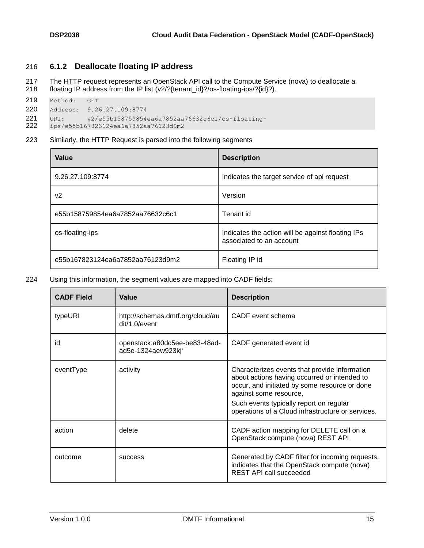#### <span id="page-14-0"></span>216 **6.1.2 Deallocate floating IP address**

217 The HTTP request represents an OpenStack API call to the Compute Service (nova) to deallocate a

218 floating IP address from the IP list (v2/?{tenant\_id}?/os-floating-ips/?{id}?).

219 Method: GET

220 Address: 9.26.27.109:8774

```
221 URI: v2/e55b158759854ea6a7852aa76632c6c1/os-floating-
```
222 ips/e55b167823124ea6a7852aa76123d9m2

223 Similarly, the HTTP Request is parsed into the following segments

| Value                            | <b>Description</b>                                                            |
|----------------------------------|-------------------------------------------------------------------------------|
| 9.26.27.109:8774                 | Indicates the target service of api request                                   |
| v <sub>2</sub>                   | Version                                                                       |
| e55b158759854ea6a7852aa76632c6c1 | Tenant id                                                                     |
| os-floating-ips                  | Indicates the action will be against floating IPs<br>associated to an account |
| e55b167823124ea6a7852aa76123d9m2 | Floating IP id                                                                |

224 Using this information, the segment values are mapped into CADF fields:

| <b>CADF Field</b> | Value                                               | <b>Description</b>                                                                                                                                                                                                                                                       |
|-------------------|-----------------------------------------------------|--------------------------------------------------------------------------------------------------------------------------------------------------------------------------------------------------------------------------------------------------------------------------|
| typeURI           | http://schemas.dmtf.org/cloud/au<br>dit/1.0/event   | CADF event schema                                                                                                                                                                                                                                                        |
| id                | openstack:a80dc5ee-be83-48ad-<br>ad5e-1324aew923kj' | CADF generated event id                                                                                                                                                                                                                                                  |
| eventType         | activity                                            | Characterizes events that provide information<br>about actions having occurred or intended to<br>occur, and initiated by some resource or done<br>against some resource,<br>Such events typically report on regular<br>operations of a Cloud infrastructure or services. |
| action            | delete                                              | CADF action mapping for DELETE call on a<br>OpenStack compute (nova) REST API                                                                                                                                                                                            |
| outcome           | <b>SUCCESS</b>                                      | Generated by CADF filter for incoming requests,<br>indicates that the OpenStack compute (nova)<br><b>REST API call succeeded</b>                                                                                                                                         |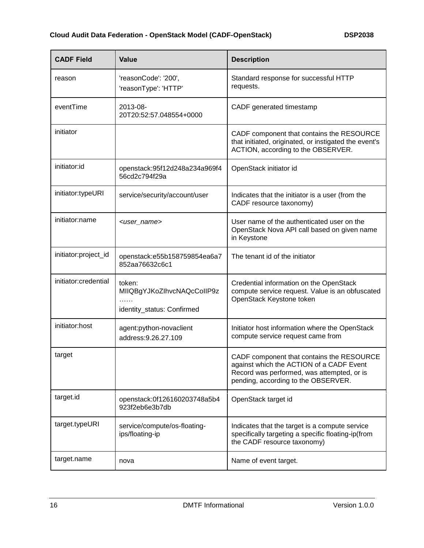#### **Cloud Audit Data Federation - OpenStack Model (CADF-OpenStack) DSP2038**

| <b>CADF Field</b>    | Value                                                              | <b>Description</b>                                                                                                                                                         |
|----------------------|--------------------------------------------------------------------|----------------------------------------------------------------------------------------------------------------------------------------------------------------------------|
| reason               | 'reasonCode': '200',<br>'reasonType': 'HTTP'                       | Standard response for successful HTTP<br>requests.                                                                                                                         |
| eventTime            | 2013-08-<br>20T20:52:57.048554+0000                                | CADF generated timestamp                                                                                                                                                   |
| initiator            |                                                                    | CADF component that contains the RESOURCE<br>that initiated, originated, or instigated the event's<br>ACTION, according to the OBSERVER.                                   |
| initiator:id         | openstack:95f12d248a234a969f4<br>56cd2c794f29a                     | OpenStack initiator id                                                                                                                                                     |
| initiator:typeURI    | service/security/account/user                                      | Indicates that the initiator is a user (from the<br>CADF resource taxonomy)                                                                                                |
| initiator:name       | <user_name></user_name>                                            | User name of the authenticated user on the<br>OpenStack Nova API call based on given name<br>in Keystone                                                                   |
| initiator:project_id | openstack:e55b158759854ea6a7<br>852aa76632c6c1                     | The tenant id of the initiator                                                                                                                                             |
| initiator:credential | token:<br>MIIQBgYJKoZIhvcNAQcCoIIP9z<br>identity_status: Confirmed | Credential information on the OpenStack<br>compute service request. Value is an obfuscated<br>OpenStack Keystone token                                                     |
| initiator:host       | agent:python-novaclient<br>address: 9.26.27.109                    | Initiator host information where the OpenStack<br>compute service request came from                                                                                        |
| target               |                                                                    | CADF component that contains the RESOURCE<br>against which the ACTION of a CADF Event<br>Record was performed, was attempted, or is<br>pending, according to the OBSERVER. |
| target.id            | openstack:0f126160203748a5b4<br>923f2eb6e3b7db                     | OpenStack target id                                                                                                                                                        |
| target.typeURI       | service/compute/os-floating-<br>ips/floating-ip                    | Indicates that the target is a compute service<br>specifically targeting a specific floating-ip(from<br>the CADF resource taxonomy)                                        |
| target.name          | nova                                                               | Name of event target.                                                                                                                                                      |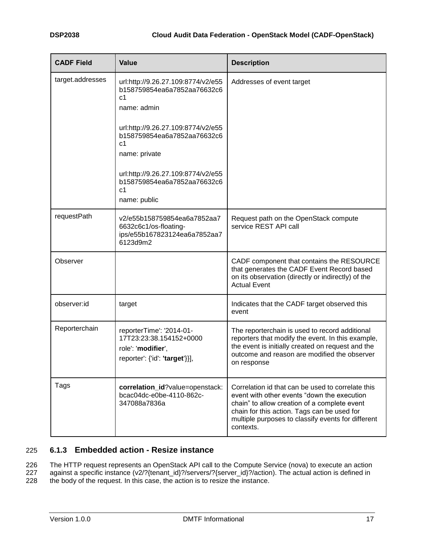| <b>CADF Field</b> | <b>Value</b>                                                                                                                                                                                                                                                                                          | <b>Description</b>                                                                                                                                                                                                                                                 |
|-------------------|-------------------------------------------------------------------------------------------------------------------------------------------------------------------------------------------------------------------------------------------------------------------------------------------------------|--------------------------------------------------------------------------------------------------------------------------------------------------------------------------------------------------------------------------------------------------------------------|
| target.addresses  | url:http://9.26.27.109:8774/v2/e55<br>b158759854ea6a7852aa76632c6<br>c <sub>1</sub><br>name: admin<br>url:http://9.26.27.109:8774/v2/e55<br>b158759854ea6a7852aa76632c6<br>c <sub>1</sub><br>name: private<br>url:http://9.26.27.109:8774/v2/e55<br>b158759854ea6a7852aa76632c6<br>с1<br>name: public | Addresses of event target                                                                                                                                                                                                                                          |
| requestPath       | v2/e55b158759854ea6a7852aa7<br>6632c6c1/os-floating-<br>ips/e55b167823124ea6a7852aa7<br>6123d9m2                                                                                                                                                                                                      | Request path on the OpenStack compute<br>service REST API call                                                                                                                                                                                                     |
| Observer          |                                                                                                                                                                                                                                                                                                       | CADF component that contains the RESOURCE<br>that generates the CADF Event Record based<br>on its observation (directly or indirectly) of the<br><b>Actual Event</b>                                                                                               |
| observer:id       | target                                                                                                                                                                                                                                                                                                | Indicates that the CADF target observed this<br>event                                                                                                                                                                                                              |
| Reporterchain     | reporterTime': '2014-01-<br>17T23:23:38.154152+0000<br>role': 'modifier',<br>reporter': {'id': 'target'}}],                                                                                                                                                                                           | The reporterchain is used to record additional<br>reporters that modify the event. In this example,<br>the event is initially created on request and the<br>outcome and reason are modified the observer<br>on response                                            |
| Tags              | correlation_id?value=openstack:<br>bcac04dc-e0be-4110-862c-<br>347088a7836a                                                                                                                                                                                                                           | Correlation id that can be used to correlate this<br>event with other events "down the execution<br>chain" to allow creation of a complete event<br>chain for this action. Tags can be used for<br>multiple purposes to classify events for different<br>contexts. |

#### <span id="page-16-0"></span>225 **6.1.3 Embedded action - Resize instance**

226 The HTTP request represents an OpenStack API call to the Compute Service (nova) to execute an action

227 against a specific instance (v2/?{tenant\_id}?/servers/?{server\_id}?/action). The actual action is defined in

228 the body of the request. In this case, the action is to resize the instance.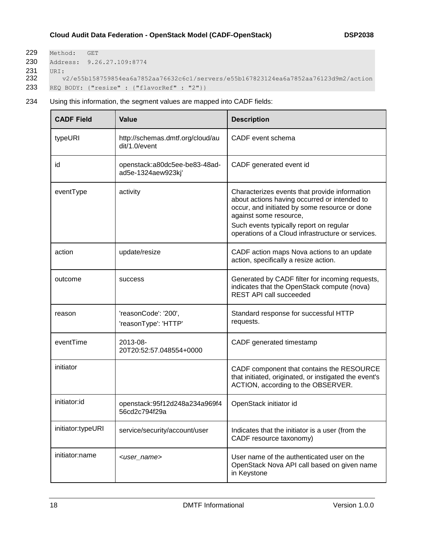```
229 Method: GET
230 Address: 9.26.27.109:8774
231 URI:<br>232 V:
         232 v2/e55b158759854ea6a7852aa76632c6c1/servers/e55b167823124ea6a7852aa76123d9m2/action
233 REQ BODY: {"resize" : {"flavorRef" : "2"}}
```
234 Using this information, the segment values are mapped into CADF fields:

| <b>CADF Field</b> | Value                                               | <b>Description</b>                                                                                                                                                                                                                                                       |
|-------------------|-----------------------------------------------------|--------------------------------------------------------------------------------------------------------------------------------------------------------------------------------------------------------------------------------------------------------------------------|
| typeURI           | http://schemas.dmtf.org/cloud/au<br>dit/1.0/event   | CADF event schema                                                                                                                                                                                                                                                        |
| id                | openstack:a80dc5ee-be83-48ad-<br>ad5e-1324aew923kj' | CADF generated event id                                                                                                                                                                                                                                                  |
| eventType         | activity                                            | Characterizes events that provide information<br>about actions having occurred or intended to<br>occur, and initiated by some resource or done<br>against some resource,<br>Such events typically report on regular<br>operations of a Cloud infrastructure or services. |
| action            | update/resize                                       | CADF action maps Nova actions to an update<br>action, specifically a resize action.                                                                                                                                                                                      |
| outcome           | success                                             | Generated by CADF filter for incoming requests,<br>indicates that the OpenStack compute (nova)<br><b>REST API call succeeded</b>                                                                                                                                         |
| reason            | 'reasonCode': '200',<br>'reasonType': 'HTTP'        | Standard response for successful HTTP<br>requests.                                                                                                                                                                                                                       |
| eventTime         | 2013-08-<br>20T20:52:57.048554+0000                 | CADF generated timestamp                                                                                                                                                                                                                                                 |
| initiator         |                                                     | CADF component that contains the RESOURCE<br>that initiated, originated, or instigated the event's<br>ACTION, according to the OBSERVER.                                                                                                                                 |
| initiator:id      | openstack:95f12d248a234a969f4<br>56cd2c794f29a      | OpenStack initiator id                                                                                                                                                                                                                                                   |
| initiator:typeURI | service/security/account/user                       | Indicates that the initiator is a user (from the<br>CADF resource taxonomy)                                                                                                                                                                                              |
| initiator:name    | <user_name></user_name>                             | User name of the authenticated user on the<br>OpenStack Nova API call based on given name<br>in Keystone                                                                                                                                                                 |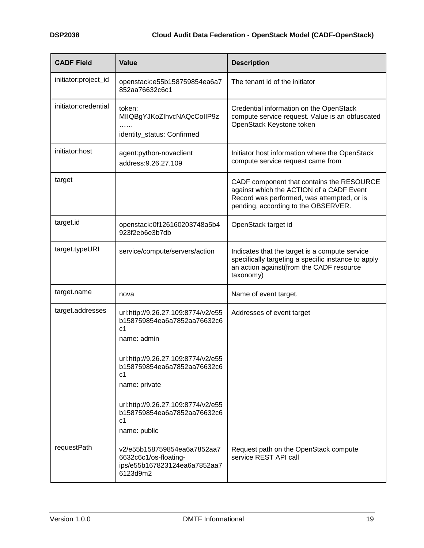| <b>CADF Field</b>    | Value                                                                                                                                                                                                                                                                                                 | <b>Description</b>                                                                                                                                                         |
|----------------------|-------------------------------------------------------------------------------------------------------------------------------------------------------------------------------------------------------------------------------------------------------------------------------------------------------|----------------------------------------------------------------------------------------------------------------------------------------------------------------------------|
| initiator:project_id | openstack:e55b158759854ea6a7<br>852aa76632c6c1                                                                                                                                                                                                                                                        | The tenant id of the initiator                                                                                                                                             |
| initiator:credential | token:<br>MIIQBgYJKoZIhvcNAQcCoIIP9z<br>identity_status: Confirmed                                                                                                                                                                                                                                    | Credential information on the OpenStack<br>compute service request. Value is an obfuscated<br>OpenStack Keystone token                                                     |
| initiator:host       | agent:python-novaclient<br>address: 9.26.27.109                                                                                                                                                                                                                                                       | Initiator host information where the OpenStack<br>compute service request came from                                                                                        |
| target               |                                                                                                                                                                                                                                                                                                       | CADF component that contains the RESOURCE<br>against which the ACTION of a CADF Event<br>Record was performed, was attempted, or is<br>pending, according to the OBSERVER. |
| target.id            | openstack:0f126160203748a5b4<br>923f2eb6e3b7db                                                                                                                                                                                                                                                        | OpenStack target id                                                                                                                                                        |
| target.typeURI       | service/compute/servers/action                                                                                                                                                                                                                                                                        | Indicates that the target is a compute service<br>specifically targeting a specific instance to apply<br>an action against(from the CADF resource<br>taxonomy)             |
| target.name          | nova                                                                                                                                                                                                                                                                                                  | Name of event target.                                                                                                                                                      |
| target.addresses     | url:http://9.26.27.109:8774/v2/e55<br>b158759854ea6a7852aa76632c6<br>c <sub>1</sub><br>name: admin<br>url:http://9.26.27.109:8774/v2/e55<br>b158759854ea6a7852aa76632c6<br>c <sub>1</sub><br>name: private<br>url:http://9.26.27.109:8774/v2/e55<br>b158759854ea6a7852aa76632c6<br>c1<br>name: public | Addresses of event target                                                                                                                                                  |
| requestPath          | v2/e55b158759854ea6a7852aa7<br>6632c6c1/os-floating-<br>ips/e55b167823124ea6a7852aa7<br>6123d9m2                                                                                                                                                                                                      | Request path on the OpenStack compute<br>service REST API call                                                                                                             |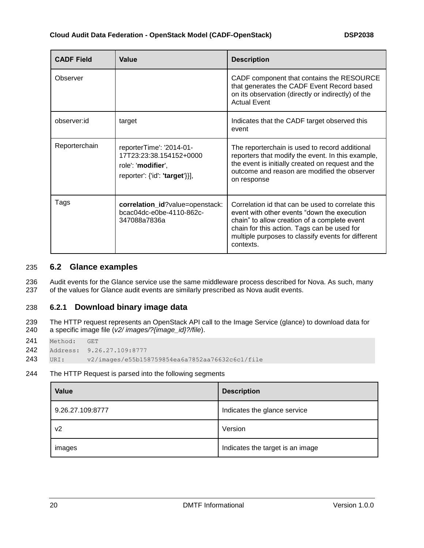| <b>CADF Field</b> | Value                                                                                                                            | <b>Description</b>                                                                                                                                                                                                                                                 |
|-------------------|----------------------------------------------------------------------------------------------------------------------------------|--------------------------------------------------------------------------------------------------------------------------------------------------------------------------------------------------------------------------------------------------------------------|
| Observer          |                                                                                                                                  | CADF component that contains the RESOURCE<br>that generates the CADF Event Record based<br>on its observation (directly or indirectly) of the<br><b>Actual Event</b>                                                                                               |
| observer:id       | target                                                                                                                           | Indicates that the CADF target observed this<br>event                                                                                                                                                                                                              |
| Reporterchain     | reporterTime': '2014-01-<br>17T23:23:38.154152+0000<br>role': 'modifier',<br>reporter': $\{ \text{'id'}: \text{'target'} \} \},$ | The reporterchain is used to record additional<br>reporters that modify the event. In this example,<br>the event is initially created on request and the<br>outcome and reason are modified the observer<br>on response                                            |
| Tags              | correlation_id?value=openstack:<br>bcac04dc-e0be-4110-862c-<br>347088a7836a                                                      | Correlation id that can be used to correlate this<br>event with other events "down the execution<br>chain" to allow creation of a complete event<br>chain for this action. Tags can be used for<br>multiple purposes to classify events for different<br>contexts. |

#### <span id="page-19-0"></span>235 **6.2 Glance examples**

236 Audit events for the Glance service use the same middleware process described for Nova. As such, many 237 of the values for Glance audit events are similarly prescribed as Nova audit events.

#### <span id="page-19-1"></span>238 **6.2.1 Download binary image data**

239 The HTTP request represents an OpenStack API call to the Image Service (glance) to download data for 240 a specific image file (*v2/ images/?{image\_id}?/file*).

241 Method: GET

242 Address: 9.26.27.109:8777

243 URI: v2/images/e55b158759854ea6a7852aa76632c6c1/file

#### 244 The HTTP Request is parsed into the following segments

| <b>Value</b>     | <b>Description</b>               |
|------------------|----------------------------------|
| 9.26.27.109:8777 | Indicates the glance service     |
| v <sub>2</sub>   | Version                          |
| images           | Indicates the target is an image |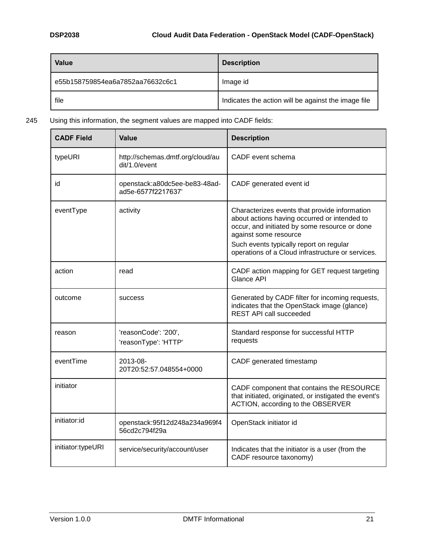| Value                            | <b>Description</b>                                  |
|----------------------------------|-----------------------------------------------------|
| e55b158759854ea6a7852aa76632c6c1 | Image id                                            |
| file                             | Indicates the action will be against the image file |

245 Using this information, the segment values are mapped into CADF fields:

| <b>CADF Field</b> | <b>Value</b>                                        | <b>Description</b>                                                                                                                                                                                                                                                      |
|-------------------|-----------------------------------------------------|-------------------------------------------------------------------------------------------------------------------------------------------------------------------------------------------------------------------------------------------------------------------------|
| typeURI           | http://schemas.dmtf.org/cloud/au<br>dit/1.0/event   | CADF event schema                                                                                                                                                                                                                                                       |
| id                | openstack:a80dc5ee-be83-48ad-<br>ad5e-6577f2217637' | CADF generated event id                                                                                                                                                                                                                                                 |
| eventType         | activity                                            | Characterizes events that provide information<br>about actions having occurred or intended to<br>occur, and initiated by some resource or done<br>against some resource<br>Such events typically report on regular<br>operations of a Cloud infrastructure or services. |
| action            | read                                                | CADF action mapping for GET request targeting<br><b>Glance API</b>                                                                                                                                                                                                      |
| outcome           | <b>SUCCESS</b>                                      | Generated by CADF filter for incoming requests,<br>indicates that the OpenStack image (glance)<br><b>REST API call succeeded</b>                                                                                                                                        |
| reason            | 'reasonCode': '200',<br>'reasonType': 'HTTP'        | Standard response for successful HTTP<br>requests                                                                                                                                                                                                                       |
| eventTime         | 2013-08-<br>20T20:52:57.048554+0000                 | CADF generated timestamp                                                                                                                                                                                                                                                |
| initiator         |                                                     | CADF component that contains the RESOURCE<br>that initiated, originated, or instigated the event's<br>ACTION, according to the OBSERVER                                                                                                                                 |
| initiator:id      | openstack:95f12d248a234a969f4<br>56cd2c794f29a      | OpenStack initiator id                                                                                                                                                                                                                                                  |
| initiator:typeURI | service/security/account/user                       | Indicates that the initiator is a user (from the<br>CADF resource taxonomy)                                                                                                                                                                                             |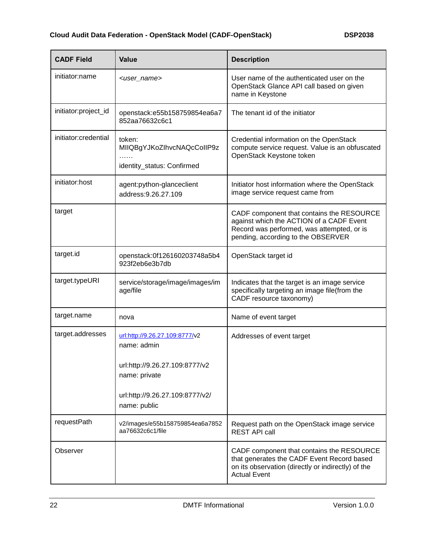| <b>CADF Field</b>    | Value                                                                                                                                               | <b>Description</b>                                                                                                                                                        |
|----------------------|-----------------------------------------------------------------------------------------------------------------------------------------------------|---------------------------------------------------------------------------------------------------------------------------------------------------------------------------|
| initiator:name       | <user_name></user_name>                                                                                                                             | User name of the authenticated user on the<br>OpenStack Glance API call based on given<br>name in Keystone                                                                |
| initiator:project_id | openstack:e55b158759854ea6a7<br>852aa76632c6c1                                                                                                      | The tenant id of the initiator                                                                                                                                            |
| initiator:credential | token:<br>MIIQBgYJKoZIhvcNAQcCoIIP9z<br>.<br>identity_status: Confirmed                                                                             | Credential information on the OpenStack<br>compute service request. Value is an obfuscated<br>OpenStack Keystone token                                                    |
| initiator:host       | agent:python-glanceclient<br>address: 9.26.27.109                                                                                                   | Initiator host information where the OpenStack<br>image service request came from                                                                                         |
| target               |                                                                                                                                                     | CADF component that contains the RESOURCE<br>against which the ACTION of a CADF Event<br>Record was performed, was attempted, or is<br>pending, according to the OBSERVER |
| target.id            | openstack:0f126160203748a5b4<br>923f2eb6e3b7db                                                                                                      | OpenStack target id                                                                                                                                                       |
| target.typeURI       | service/storage/image/images/im<br>age/file                                                                                                         | Indicates that the target is an image service<br>specifically targeting an image file(from the<br>CADF resource taxonomy)                                                 |
| target.name          | nova                                                                                                                                                | Name of event target                                                                                                                                                      |
| target.addresses     | url:http://9.26.27.109:8777/v2<br>name: admin<br>url:http://9.26.27.109:8777/v2<br>name: private<br>url:http://9.26.27.109:8777/v2/<br>name: public | Addresses of event target                                                                                                                                                 |
| requestPath          | v2/images/e55b158759854ea6a7852                                                                                                                     | Request path on the OpenStack image service                                                                                                                               |
|                      | aa76632c6c1/file                                                                                                                                    | <b>REST API call</b>                                                                                                                                                      |
| Observer             |                                                                                                                                                     | CADF component that contains the RESOURCE<br>that generates the CADF Event Record based<br>on its observation (directly or indirectly) of the<br><b>Actual Event</b>      |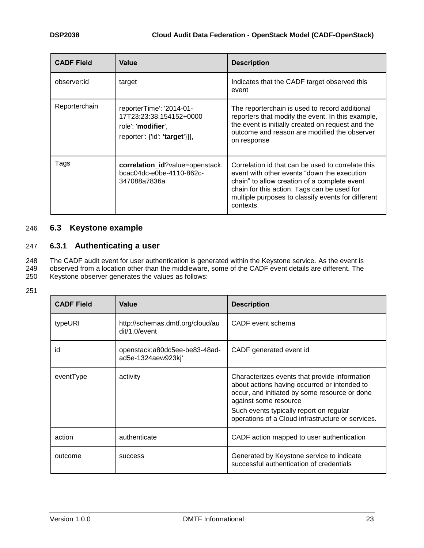| <b>CADF Field</b> | Value                                                                                                       | <b>Description</b>                                                                                                                                                                                                                                                 |
|-------------------|-------------------------------------------------------------------------------------------------------------|--------------------------------------------------------------------------------------------------------------------------------------------------------------------------------------------------------------------------------------------------------------------|
| observer:id       | target                                                                                                      | Indicates that the CADF target observed this<br>event                                                                                                                                                                                                              |
| Reporterchain     | reporterTime': '2014-01-<br>17T23:23:38.154152+0000<br>role': 'modifier',<br>reporter': {'id': 'target'}}], | The reporterchain is used to record additional<br>reporters that modify the event. In this example,<br>the event is initially created on request and the<br>outcome and reason are modified the observer<br>on response                                            |
| Tags              | <b>correlation_id?</b> value=openstack:<br>bcac04dc-e0be-4110-862c-<br>347088a7836a                         | Correlation id that can be used to correlate this<br>event with other events "down the execution<br>chain" to allow creation of a complete event<br>chain for this action. Tags can be used for<br>multiple purposes to classify events for different<br>contexts. |

#### <span id="page-22-0"></span>246 **6.3 Keystone example**

#### <span id="page-22-1"></span>247 **6.3.1 Authenticating a user**

248 The CADF audit event for user authentication is generated within the Keystone service. As the event is 249 observed from a location other than the middleware, some of the CADF event details are different. The 250 Keystone observer generates the values as follows:

| <b>CADF Field</b> | Value                                               | <b>Description</b>                                                                                                                                                                                                                                                      |
|-------------------|-----------------------------------------------------|-------------------------------------------------------------------------------------------------------------------------------------------------------------------------------------------------------------------------------------------------------------------------|
| typeURI           | http://schemas.dmtf.org/cloud/au<br>dit/1.0/event   | CADF event schema                                                                                                                                                                                                                                                       |
| id                | openstack:a80dc5ee-be83-48ad-<br>ad5e-1324aew923kj' | CADF generated event id                                                                                                                                                                                                                                                 |
| eventType         | activity                                            | Characterizes events that provide information<br>about actions having occurred or intended to<br>occur, and initiated by some resource or done<br>against some resource<br>Such events typically report on regular<br>operations of a Cloud infrastructure or services. |
| action            | authenticate                                        | CADF action mapped to user authentication                                                                                                                                                                                                                               |
| outcome           | <b>SUCCESS</b>                                      | Generated by Keystone service to indicate<br>successful authentication of credentials                                                                                                                                                                                   |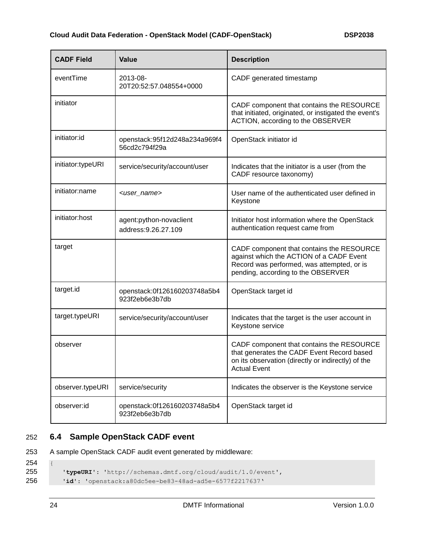| <b>CADF Field</b> | <b>Value</b>                                    | <b>Description</b>                                                                                                                                                        |
|-------------------|-------------------------------------------------|---------------------------------------------------------------------------------------------------------------------------------------------------------------------------|
| eventTime         | 2013-08-<br>20T20:52:57.048554+0000             | CADF generated timestamp                                                                                                                                                  |
| initiator         |                                                 | CADF component that contains the RESOURCE<br>that initiated, originated, or instigated the event's<br>ACTION, according to the OBSERVER                                   |
| initiator:id      | openstack:95f12d248a234a969f4<br>56cd2c794f29a  | OpenStack initiator id                                                                                                                                                    |
| initiator:typeURI | service/security/account/user                   | Indicates that the initiator is a user (from the<br>CADF resource taxonomy)                                                                                               |
| initiator:name    | <user_name></user_name>                         | User name of the authenticated user defined in<br>Keystone                                                                                                                |
| initiator:host    | agent:python-novaclient<br>address: 9.26.27.109 | Initiator host information where the OpenStack<br>authentication request came from                                                                                        |
| target            |                                                 | CADF component that contains the RESOURCE<br>against which the ACTION of a CADF Event<br>Record was performed, was attempted, or is<br>pending, according to the OBSERVER |
| target.id         | openstack:0f126160203748a5b4<br>923f2eb6e3b7db  | OpenStack target id                                                                                                                                                       |
| target.typeURI    | service/security/account/user                   | Indicates that the target is the user account in<br>Keystone service                                                                                                      |
| observer          |                                                 | CADF component that contains the RESOURCE<br>that generates the CADF Event Record based<br>on its observation (directly or indirectly) of the<br><b>Actual Event</b>      |
| observer.typeURI  | service/security                                | Indicates the observer is the Keystone service                                                                                                                            |
| observer:id       | openstack:0f126160203748a5b4<br>923f2eb6e3b7db  | OpenStack target id                                                                                                                                                       |

### <span id="page-23-0"></span>252 **6.4 Sample OpenStack CADF event**

253 A sample OpenStack CADF audit event generated by middleware:

```
254 {
```

```
255 'typeURI': 'http://schemas.dmtf.org/cloud/audit/1.0/event', 
256 'id': 'openstack:a80dc5ee-be83-48ad-ad5e-6577f2217637'
```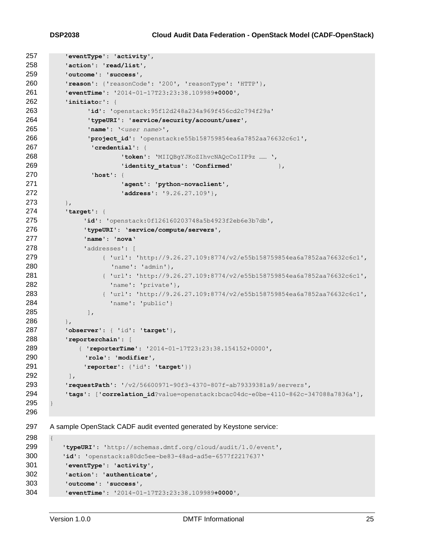```
257 'eventType': 'activity', 
258 'action': 'read/list', 
259 'outcome': 'success', 
260 'reason': {'reasonCode': '200', 'reasonType': 'HTTP'}, 
261 'eventTime': '2014-01-17T23:23:38.109989+0000', 
262 'initiator': { 
263 'id': 'openstack:95f12d248a234a969f456cd2c794f29a'
264 'typeURI': 'service/security/account/user', 
265 'name': '<user name>', 
266 'project_id': 'openstack:e55b158759854ea6a7852aa76632c6c1', 
267 'credential': { 
268 'token': 'MIIQBgYJKoZIhvcNAQcCoIIP9z …… ',
269 'identity_status': 'Confirmed' }, 
270 'host': { 
271 'agent': 'python-novaclient', 
272 'address': '9.26.27.109'}, 
273 },
274 'target': { 
275 'id': 'openstack:0f126160203748a5b4923f2eb6e3b7db', 
276 'typeURI': 'service/compute/servers', 
277 'name': 'nova' 
278 'addresses': [
279 { 'url': 'http://9.26.27.109:8774/v2/e55b158759854ea6a7852aa76632c6c1', 
280 'name': 'admin'}, 
281 { 'url': 'http://9.26.27.109:8774/v2/e55b158759854ea6a7852aa76632c6c1', 
282 'name': 'private'},
283 { 'url': 'http://9.26.27.109:8774/v2/e55b158759854ea6a7852aa76632c6c1', 
284 'name': 'public'}
285 \frac{1}{1},
286 },
287 'observer': { 'id': 'target'}, 
288 'reporterchain': [
289 { 'reporterTime': '2014-01-17T23:23:38.154152+0000', 
290 'role': 'modifier', 
291 'reporter': {'id': 'target'}}
292 ],
293 'requestPath': '/v2/56600971-90f3-4370-807f-ab79339381a9/servers',
294 'tags': ['correlation_id?value=openstack:bcac04dc-e0be-4110-862c-347088a7836a'], 
295 } 
296
297 A sample OpenStack CADF audit evented generated by Keystone service:
298 {
299 'typeURI': 'http://schemas.dmtf.org/cloud/audit/1.0/event', 
300 'id': 'openstack:a80dc5ee-be83-48ad-ad5e-6577f2217637'
301 'eventType': 'activity', 
302 'action': 'authenticate',
```

```
303 'outcome': 'success',
```

```
304 'eventTime': '2014-01-17T23:23:38.109989+0000',
```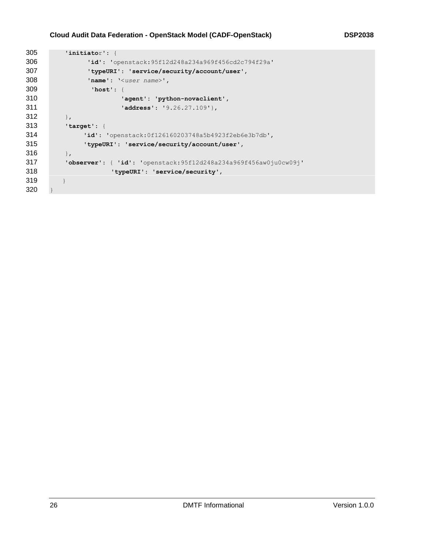#### **Cloud Audit Data Federation - OpenStack Model (CADF-OpenStack) DSP2038**

```
305 'initiator': { 
306 'id': 'openstack:95f12d248a234a969f456cd2c794f29a'
307 'typeURI': 'service/security/account/user', 
308 'name': '<user name>', 
309 'host': { 
310 'agent': 'python-novaclient', 
311 'address': '9.26.27.109'}, 
312 },
313 'target': { 
314 'id': 'openstack:0f126160203748a5b4923f2eb6e3b7db', 
315 'typeURI': 'service/security/account/user',
316 },
317 'observer': { 'id': 'openstack:95f12d248a234a969f456aw0ju0cw09j'
318 'typeURI': 'service/security', 
319 }
320 }
```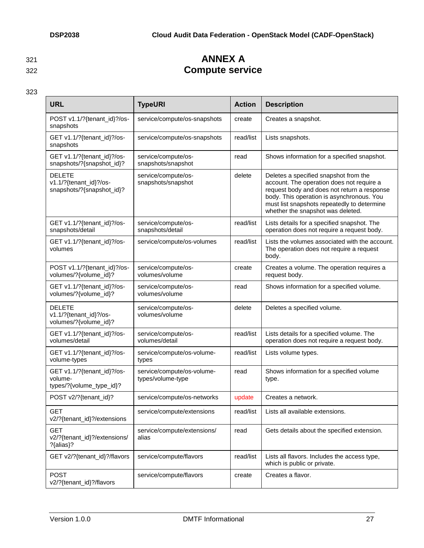<span id="page-26-0"></span>

## 321 **ANNEX A** 322 **Compute service**

| I<br>۰.<br>v<br>× |  |
|-------------------|--|

| <b>URL</b>                                                           | <b>TypeURI</b>                                  | <b>Action</b> | <b>Description</b>                                                                                                                                                                                                                                                 |
|----------------------------------------------------------------------|-------------------------------------------------|---------------|--------------------------------------------------------------------------------------------------------------------------------------------------------------------------------------------------------------------------------------------------------------------|
| POST v1.1/?{tenant_id}?/os-<br>snapshots                             | service/compute/os-snapshots                    | create        | Creates a snapshot.                                                                                                                                                                                                                                                |
| GET v1.1/?{tenant_id}?/os-<br>snapshots                              | service/compute/os-snapshots                    | read/list     | Lists snapshots.                                                                                                                                                                                                                                                   |
| GET v1.1/?{tenant_id}?/os-<br>snapshots/?{snapshot_id}?              | service/compute/os-<br>snapshots/snapshot       | read          | Shows information for a specified snapshot.                                                                                                                                                                                                                        |
| <b>DELETE</b><br>v1.1/?{tenant_id}?/os-<br>snapshots/?{snapshot_id}? | service/compute/os-<br>snapshots/snapshot       | delete        | Deletes a specified snapshot from the<br>account. The operation does not require a<br>request body and does not return a response<br>body. This operation is asynchronous. You<br>must list snapshots repeatedly to determine<br>whether the snapshot was deleted. |
| GET v1.1/?{tenant_id}?/os-<br>snapshots/detail                       | service/compute/os-<br>snapshots/detail         | read/list     | Lists details for a specified snapshot. The<br>operation does not require a request body.                                                                                                                                                                          |
| GET v1.1/?{tenant_id}?/os-<br>volumes                                | service/compute/os-volumes                      | read/list     | Lists the volumes associated with the account.<br>The operation does not require a request<br>body.                                                                                                                                                                |
| POST v1.1/?{tenant_id}?/os-<br>volumes/?{volume_id}?                 | service/compute/os-<br>volumes/volume           | create        | Creates a volume. The operation requires a<br>request body.                                                                                                                                                                                                        |
| GET v1.1/?{tenant_id}?/os-<br>volumes/?{volume_id}?                  | service/compute/os-<br>volumes/volume           | read          | Shows information for a specified volume.                                                                                                                                                                                                                          |
| <b>DELETE</b><br>v1.1/?{tenant_id}?/os-<br>volumes/?{volume_id}?     | service/compute/os-<br>volumes/volume           | delete        | Deletes a specified volume.                                                                                                                                                                                                                                        |
| GET v1.1/?{tenant_id}?/os-<br>volumes/detail                         | service/compute/os-<br>volumes/detail           | read/list     | Lists details for a specified volume. The<br>operation does not require a request body.                                                                                                                                                                            |
| GET v1.1/?{tenant_id}?/os-<br>volume-types                           | service/compute/os-volume-<br>types             | read/list     | Lists volume types.                                                                                                                                                                                                                                                |
| GET v1.1/?{tenant_id}?/os-<br>volume-<br>types/?{volume_type_id}?    | service/compute/os-volume-<br>types/volume-type | read          | Shows information for a specified volume<br>type.                                                                                                                                                                                                                  |
| POST v2/?{tenant_id}?                                                | service/compute/os-networks                     | update        | Creates a network.                                                                                                                                                                                                                                                 |
| <b>GET</b><br>v2/?{tenant_id}?/extensions                            | service/compute/extensions                      | read/list     | Lists all available extensions.                                                                                                                                                                                                                                    |
| <b>GET</b><br>v2/?{tenant_id}?/extensions/<br>?{alias}?              | service/compute/extensions/<br>alias            | read          | Gets details about the specified extension.                                                                                                                                                                                                                        |
| GET v2/?{tenant_id}?/flavors                                         | service/compute/flavors                         | read/list     | Lists all flavors. Includes the access type,<br>which is public or private.                                                                                                                                                                                        |
| <b>POST</b><br>v2/?{tenant_id}?/flavors                              | service/compute/flavors                         | create        | Creates a flavor.                                                                                                                                                                                                                                                  |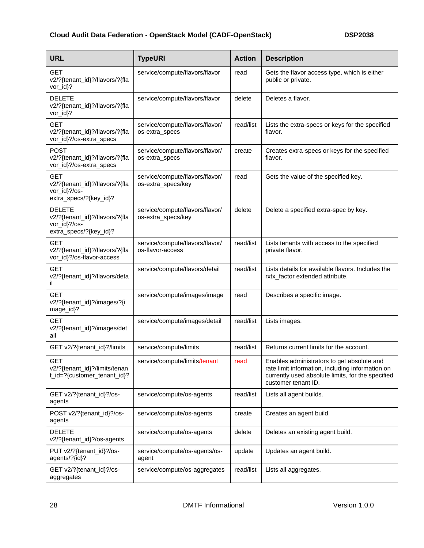| <b>URL</b>                                                                                | <b>TypeURI</b>                                        | <b>Action</b> | <b>Description</b>                                                                                                                                                         |
|-------------------------------------------------------------------------------------------|-------------------------------------------------------|---------------|----------------------------------------------------------------------------------------------------------------------------------------------------------------------------|
| <b>GET</b><br>v2/?{tenant_id}?/flavors/?{fla<br>vor_id}?                                  | service/compute/flavors/flavor                        | read          | Gets the flavor access type, which is either<br>public or private.                                                                                                         |
| <b>DELETE</b><br>v2/?{tenant_id}?/flavors/?{fla<br>vor_id}?                               | service/compute/flavors/flavor                        | delete        | Deletes a flavor.                                                                                                                                                          |
| <b>GET</b><br>v2/?{tenant_id}?/flavors/?{fla<br>vor_id}?/os-extra_specs                   | service/compute/flavors/flavor/<br>os-extra_specs     | read/list     | Lists the extra-specs or keys for the specified<br>flavor.                                                                                                                 |
| <b>POST</b><br>v2/?{tenant_id}?/flavors/?{fla<br>vor_id}?/os-extra_specs                  | service/compute/flavors/flavor/<br>os-extra_specs     | create        | Creates extra-specs or keys for the specified<br>flavor.                                                                                                                   |
| <b>GET</b><br>v2/?{tenant_id}?/flavors/?{fla<br>vor_id}?/os-<br>extra_specs/?{key_id}?    | service/compute/flavors/flavor/<br>os-extra_specs/key | read          | Gets the value of the specified key.                                                                                                                                       |
| <b>DELETE</b><br>v2/?{tenant_id}?/flavors/?{fla<br>vor_id}?/os-<br>extra_specs/?{key_id}? | service/compute/flavors/flavor/<br>os-extra_specs/key | delete        | Delete a specified extra-spec by key.                                                                                                                                      |
| <b>GET</b><br>v2/?{tenant_id}?/flavors/?{fla<br>vor_id}?/os-flavor-access                 | service/compute/flavors/flavor/<br>os-flavor-access   | read/list     | Lists tenants with access to the specified<br>private flavor.                                                                                                              |
| <b>GET</b><br>v2/?{tenant_id}?/flavors/deta<br>il                                         | service/compute/flavors/detail                        | read/list     | Lists details for available flavors. Includes the<br>rxtx_factor extended attribute.                                                                                       |
| <b>GET</b><br>v2/?{tenant_id}?/images/?{i<br>mage_id}?                                    | service/compute/images/image                          | read          | Describes a specific image.                                                                                                                                                |
| <b>GET</b><br>v2/?{tenant_id}?/images/det<br>ail                                          | service/compute/images/detail                         | read/list     | Lists images.                                                                                                                                                              |
| GET v2/?{tenant_id}?/limits                                                               | service/compute/limits                                | read/list     | Returns current limits for the account.                                                                                                                                    |
| <b>GET</b><br>v2/?{tenant_id}?/limits/tenan<br>t_id=?{customer_tenant_id}?                | service/compute/limits/tenant                         | read          | Enables administrators to get absolute and<br>rate limit information, including information on<br>currently used absolute limits, for the specified<br>customer tenant ID. |
| GET v2/?{tenant_id}?/os-<br>agents                                                        | service/compute/os-agents                             | read/list     | Lists all agent builds.                                                                                                                                                    |
| POST v2/?{tenant_id}?/os-<br>agents                                                       | service/compute/os-agents                             | create        | Creates an agent build.                                                                                                                                                    |
| <b>DELETE</b><br>v2/?{tenant_id}?/os-agents                                               | service/compute/os-agents                             | delete        | Deletes an existing agent build.                                                                                                                                           |
| PUT v2/?{tenant_id}?/os-<br>agents/?{id}?                                                 | service/compute/os-agents/os-<br>agent                | update        | Updates an agent build.                                                                                                                                                    |
| GET v2/?{tenant_id}?/os-<br>aggregates                                                    | service/compute/os-aggregates                         | read/list     | Lists all aggregates.                                                                                                                                                      |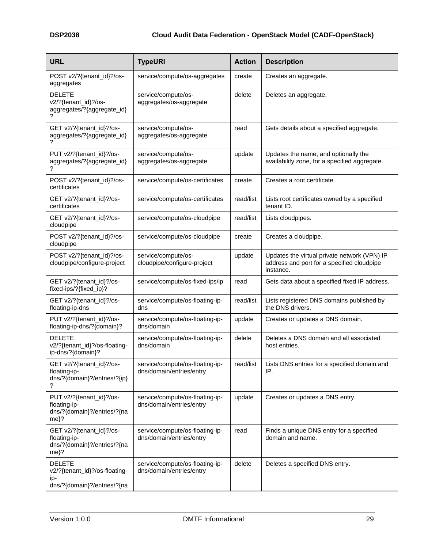| <b>URL</b>                                                                           | <b>TypeURI</b>                                              | <b>Action</b> | <b>Description</b>                                                                                      |
|--------------------------------------------------------------------------------------|-------------------------------------------------------------|---------------|---------------------------------------------------------------------------------------------------------|
| POST v2/?{tenant_id}?/os-<br>aggregates                                              | service/compute/os-aggregates                               | create        | Creates an aggregate.                                                                                   |
| <b>DELETE</b><br>v2/?{tenant_id}?/os-<br>aggregates/?{aggregate_id}<br>?             | service/compute/os-<br>aggregates/os-aggregate              | delete        | Deletes an aggregate.                                                                                   |
| GET v2/?{tenant_id}?/os-<br>aggregates/?{aggregate_id}<br>?                          | service/compute/os-<br>aggregates/os-aggregate              | read          | Gets details about a specified aggregate.                                                               |
| PUT v2/?{tenant_id}?/os-<br>aggregates/?{aggregate_id}                               | service/compute/os-<br>aggregates/os-aggregate              | update        | Updates the name, and optionally the<br>availability zone, for a specified aggregate.                   |
| POST v2/?{tenant_id}?/os-<br>certificates                                            | service/compute/os-certificates                             | create        | Creates a root certificate.                                                                             |
| GET v2/?{tenant_id}?/os-<br>certificates                                             | service/compute/os-certificates                             | read/list     | Lists root certificates owned by a specified<br>tenant ID.                                              |
| GET v2/?{tenant_id}?/os-<br>cloudpipe                                                | service/compute/os-cloudpipe                                | read/list     | Lists cloudpipes.                                                                                       |
| POST v2/?{tenant_id}?/os-<br>cloudpipe                                               | service/compute/os-cloudpipe                                | create        | Creates a cloudpipe.                                                                                    |
| POST v2/?{tenant_id}?/os-<br>cloudpipe/configure-project                             | service/compute/os-<br>cloudpipe/configure-project          | update        | Updates the virtual private network (VPN) IP<br>address and port for a specified cloudpipe<br>instance. |
| GET v2/?{tenant_id}?/os-<br>fixed-ips/?{fixed_ip}?                                   | service/compute/os-fixed-ips/ip                             | read          | Gets data about a specified fixed IP address.                                                           |
| GET v2/?{tenant_id}?/os-<br>floating-ip-dns                                          | service/compute/os-floating-ip-<br>dns                      | read/list     | Lists registered DNS domains published by<br>the DNS drivers.                                           |
| PUT v2/?{tenant_id}?/os-<br>floating-ip-dns/?{domain}?                               | service/compute/os-floating-ip-<br>dns/domain               | update        | Creates or updates a DNS domain.                                                                        |
| <b>DELETE</b><br>v2/?{tenant_id}?/os-floating-<br>ip-dns/?{domain}?                  | service/compute/os-floating-ip-<br>dns/domain               | delete        | Deletes a DNS domain and all associated<br>host entries.                                                |
| GET v2/?{tenant_id}?/os-<br>floating-ip-<br>dns/?{domain}?/entries/?{ip}<br>?        | service/compute/os-floating-ip-<br>dns/domain/entries/entry | read/list     | Lists DNS entries for a specified domain and<br>IP.                                                     |
| PUT v2/?{tenant_id}?/os-<br>floating-ip-<br>dns/?{domain}?/entries/?{na<br>$me$ ?    | service/compute/os-floating-ip-<br>dns/domain/entries/entry | update        | Creates or updates a DNS entry.                                                                         |
| GET v2/?{tenant_id}?/os-<br>floating-ip-<br>dns/?{domain}?/entries/?{na<br>me}?      | service/compute/os-floating-ip-<br>dns/domain/entries/entry | read          | Finds a unique DNS entry for a specified<br>domain and name.                                            |
| <b>DELETE</b><br>v2/?{tenant_id}?/os-floating-<br>ip-<br>dns/?{domain}?/entries/?{na | service/compute/os-floating-ip-<br>dns/domain/entries/entry | delete        | Deletes a specified DNS entry.                                                                          |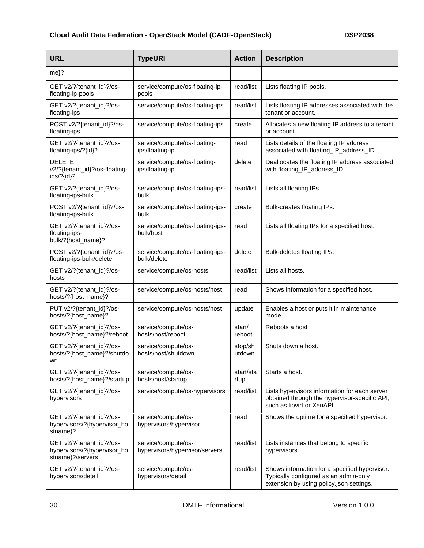| <b>URL</b>                                                                  | <b>TypeURI</b>                                        | <b>Action</b>     | <b>Description</b>                                                                                                                 |
|-----------------------------------------------------------------------------|-------------------------------------------------------|-------------------|------------------------------------------------------------------------------------------------------------------------------------|
| me}?                                                                        |                                                       |                   |                                                                                                                                    |
| GET v2/?{tenant_id}?/os-<br>floating-ip-pools                               | service/compute/os-floating-ip-<br>pools              | read/list         | Lists floating IP pools.                                                                                                           |
| GET v2/?{tenant_id}?/os-<br>floating-ips                                    | service/compute/os-floating-ips                       | read/list         | Lists floating IP addresses associated with the<br>tenant or account.                                                              |
| POST v2/?{tenant_id}?/os-<br>floating-ips                                   | service/compute/os-floating-ips                       | create            | Allocates a new floating IP address to a tenant<br>or account.                                                                     |
| GET v2/?{tenant_id}?/os-<br>floating-ips/?{id}?                             | service/compute/os-floating-<br>ips/floating-ip       | read              | Lists details of the floating IP address<br>associated with floating_IP_address_ID.                                                |
| <b>DELETE</b><br>v2/?{tenant_id}?/os-floating-<br>$ips$ /?{ $id$ }?         | service/compute/os-floating-<br>ips/floating-ip       | delete            | Deallocates the floating IP address associated<br>with floating_IP_address_ID.                                                     |
| GET v2/?{tenant_id}?/os-<br>floating-ips-bulk                               | service/compute/os-floating-ips-<br>bulk              | read/list         | Lists all floating IPs.                                                                                                            |
| POST v2/?{tenant_id}?/os-<br>floating-ips-bulk                              | service/compute/os-floating-ips-<br>bulk              | create            | Bulk-creates floating IPs.                                                                                                         |
| GET v2/?{tenant_id}?/os-<br>floating-ips-<br>bulk/?{host_name}?             | service/compute/os-floating-ips-<br>bulk/host         | read              | Lists all floating IPs for a specified host.                                                                                       |
| POST v2/?{tenant_id}?/os-<br>floating-ips-bulk/delete                       | service/compute/os-floating-ips-<br>bulk/delete       | delete            | Bulk-deletes floating IPs.                                                                                                         |
| GET v2/?{tenant_id}?/os-<br>hosts                                           | service/compute/os-hosts                              | read/list         | Lists all hosts.                                                                                                                   |
| GET v2/?{tenant_id}?/os-<br>hosts/?{host_name}?                             | service/compute/os-hosts/host                         | read              | Shows information for a specified host.                                                                                            |
| PUT v2/?{tenant_id}?/os-<br>hosts/?{host_name}?                             | service/compute/os-hosts/host                         | update            | Enables a host or puts it in maintenance<br>mode.                                                                                  |
| GET v2/?{tenant_id}?/os-<br>hosts/?{host_name}?/reboot                      | service/compute/os-<br>hosts/host/reboot              | start/<br>reboot  | Reboots a host.                                                                                                                    |
| GET v2/?{tenant_id}?/os-<br>hosts/?{host_name}?/shutdo<br>wn                | service/compute/os-<br>hosts/host/shutdown            | stop/sh<br>utdown | Shuts down a host.                                                                                                                 |
| GET v2/?{tenant_id}?/os-<br>hosts/?{host_name}?/startup                     | service/compute/os-<br>hosts/host/startup             | start/sta<br>rtup | Starts a host.                                                                                                                     |
| GET v2/?{tenant_id}?/os-<br>hypervisors                                     | service/compute/os-hypervisors                        | read/list         | Lists hypervisors information for each server<br>obtained through the hypervisor-specific API,<br>such as libvirt or XenAPI.       |
| GET v2/?{tenant_id}?/os-<br>hypervisors/?{hypervisor_ho<br>stname}?         | service/compute/os-<br>hypervisors/hypervisor         | read              | Shows the uptime for a specified hypervisor.                                                                                       |
| GET v2/?{tenant_id}?/os-<br>hypervisors/?{hypervisor_ho<br>stname}?/servers | service/compute/os-<br>hypervisors/hypervisor/servers | read/list         | Lists instances that belong to specific<br>hypervisors.                                                                            |
| GET v2/?{tenant_id}?/os-<br>hypervisors/detail                              | service/compute/os-<br>hypervisors/detail             | read/list         | Shows information for a specified hypervisor.<br>Typically configured as an admin-only<br>extension by using policy.json settings. |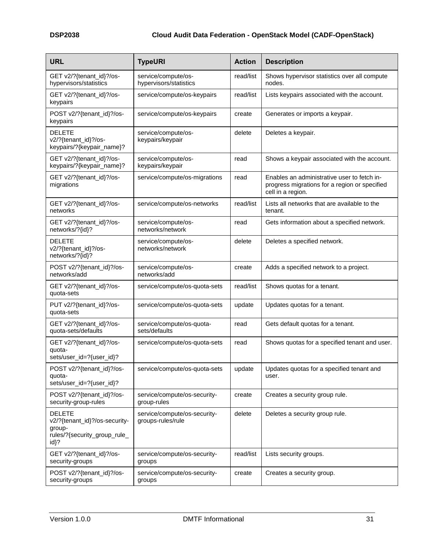| <b>URL</b>                                                                                       | <b>TypeURI</b>                                    | <b>Action</b> | <b>Description</b>                                                                                                |
|--------------------------------------------------------------------------------------------------|---------------------------------------------------|---------------|-------------------------------------------------------------------------------------------------------------------|
| GET v2/?{tenant_id}?/os-<br>hypervisors/statistics                                               | service/compute/os-<br>hypervisors/statistics     | read/list     | Shows hypervisor statistics over all compute<br>nodes.                                                            |
| GET v2/?{tenant_id}?/os-<br>keypairs                                                             | service/compute/os-keypairs                       | read/list     | Lists keypairs associated with the account.                                                                       |
| POST v2/?{tenant_id}?/os-<br>keypairs                                                            | service/compute/os-keypairs                       | create        | Generates or imports a keypair.                                                                                   |
| <b>DELETE</b><br>v2/?{tenant_id}?/os-<br>keypairs/?{keypair_name}?                               | service/compute/os-<br>keypairs/keypair           | delete        | Deletes a keypair.                                                                                                |
| GET v2/?{tenant_id}?/os-<br>keypairs/?{keypair_name}?                                            | service/compute/os-<br>keypairs/keypair           | read          | Shows a keypair associated with the account.                                                                      |
| GET v2/?{tenant_id}?/os-<br>migrations                                                           | service/compute/os-migrations                     | read          | Enables an administrative user to fetch in-<br>progress migrations for a region or specified<br>cell in a region. |
| GET v2/?{tenant_id}?/os-<br>networks                                                             | service/compute/os-networks                       | read/list     | Lists all networks that are available to the<br>tenant.                                                           |
| GET v2/?{tenant_id}?/os-<br>networks/?{id}?                                                      | service/compute/os-<br>networks/network           | read          | Gets information about a specified network.                                                                       |
| <b>DELETE</b><br>v2/?{tenant_id}?/os-<br>networks/?{id}?                                         | service/compute/os-<br>networks/network           | delete        | Deletes a specified network.                                                                                      |
| POST v2/?{tenant_id}?/os-<br>networks/add                                                        | service/compute/os-<br>networks/add               | create        | Adds a specified network to a project.                                                                            |
| GET v2/?{tenant_id}?/os-<br>quota-sets                                                           | service/compute/os-quota-sets                     | read/list     | Shows quotas for a tenant.                                                                                        |
| PUT v2/?{tenant_id}?/os-<br>quota-sets                                                           | service/compute/os-quota-sets                     | update        | Updates quotas for a tenant.                                                                                      |
| GET v2/?{tenant_id}?/os-<br>quota-sets/defaults                                                  | service/compute/os-quota-<br>sets/defaults        | read          | Gets default quotas for a tenant.                                                                                 |
| GET v2/?{tenant_id}?/os-<br>quota-<br>sets/user_id=?{user_id}?                                   | service/compute/os-quota-sets                     | read          | Shows quotas for a specified tenant and user.                                                                     |
| POST v2/?{tenant_id}?/os-<br>quota-<br>sets/user_id=?{user_id}?                                  | service/compute/os-quota-sets                     | update        | Updates quotas for a specified tenant and<br>user.                                                                |
| POST v2/?{tenant_id}?/os-<br>security-group-rules                                                | service/compute/os-security-<br>group-rules       | create        | Creates a security group rule.                                                                                    |
| <b>DELETE</b><br>v2/?{tenant_id}?/os-security-<br>group-<br>rules/?{security_group_rule_<br>id}? | service/compute/os-security-<br>groups-rules/rule | delete        | Deletes a security group rule.                                                                                    |
| GET v2/?{tenant_id}?/os-<br>security-groups                                                      | service/compute/os-security-<br>groups            | read/list     | Lists security groups.                                                                                            |
| POST v2/?{tenant_id}?/os-<br>security-groups                                                     | service/compute/os-security-<br>groups            | create        | Creates a security group.                                                                                         |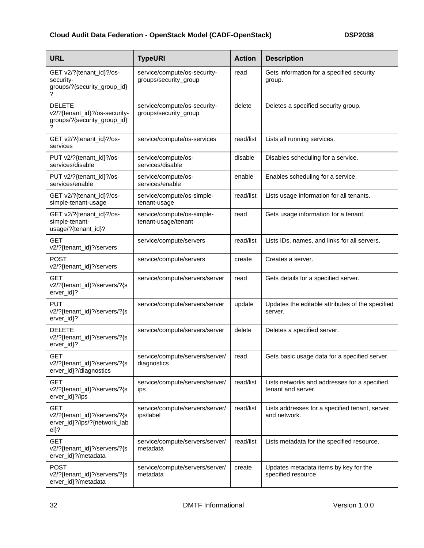| <b>URL</b>                                                                         | <b>TypeURI</b>                                        | <b>Action</b> | <b>Description</b>                                                 |
|------------------------------------------------------------------------------------|-------------------------------------------------------|---------------|--------------------------------------------------------------------|
| GET v2/?{tenant_id}?/os-<br>security-<br>groups/?{security_group_id}               | service/compute/os-security-<br>groups/security_group | read          | Gets information for a specified security<br>group.                |
| <b>DELETE</b><br>v2/?{tenant_id}?/os-security-<br>groups/?{security_group_id}      | service/compute/os-security-<br>groups/security_group | delete        | Deletes a specified security group.                                |
| GET v2/?{tenant_id}?/os-<br>services                                               | service/compute/os-services                           | read/list     | Lists all running services.                                        |
| PUT v2/?{tenant_id}?/os-<br>services/disable                                       | service/compute/os-<br>services/disable               | disable       | Disables scheduling for a service.                                 |
| PUT v2/?{tenant_id}?/os-<br>services/enable                                        | service/compute/os-<br>services/enable                | enable        | Enables scheduling for a service.                                  |
| GET v2/?{tenant_id}?/os-<br>simple-tenant-usage                                    | service/compute/os-simple-<br>tenant-usage            | read/list     | Lists usage information for all tenants.                           |
| GET v2/?{tenant_id}?/os-<br>simple-tenant-<br>usage/?{tenant_id}?                  | service/compute/os-simple-<br>tenant-usage/tenant     | read          | Gets usage information for a tenant.                               |
| <b>GET</b><br>v2/?{tenant_id}?/servers                                             | service/compute/servers                               | read/list     | Lists IDs, names, and links for all servers.                       |
| <b>POST</b><br>v2/?{tenant_id}?/servers                                            | service/compute/servers                               | create        | Creates a server.                                                  |
| <b>GET</b><br>v2/?{tenant_id}?/servers/?{s<br>erver_id}?                           | service/compute/servers/server                        | read          | Gets details for a specified server.                               |
| <b>PUT</b><br>v2/?{tenant_id}?/servers/?{s<br>erver_id}?                           | service/compute/servers/server                        | update        | Updates the editable attributes of the specified<br>server.        |
| <b>DELETE</b><br>v2/?{tenant_id}?/servers/?{s<br>erver_id}?                        | service/compute/servers/server                        | delete        | Deletes a specified server.                                        |
| <b>GET</b><br>v2/?{tenant_id}?/servers/?{s<br>erver_id}?/diagnostics               | service/compute/servers/server/<br>diagnostics        | read          | Gets basic usage data for a specified server.                      |
| <b>GET</b><br>v2/?{tenant_id}?/servers/?{s<br>erver_id}?/ips                       | service/compute/servers/server/<br>ips                | read/list     | Lists networks and addresses for a specified<br>tenant and server. |
| <b>GET</b><br>v2/?{tenant_id}?/servers/?{s<br>erver_id}?/ips/?{network_lab<br>el}? | service/compute/servers/server/<br>ips/label          | read/list     | Lists addresses for a specified tenant, server,<br>and network.    |
| <b>GET</b><br>v2/?{tenant_id}?/servers/?{s<br>erver_id}?/metadata                  | service/compute/servers/server/<br>metadata           | read/list     | Lists metadata for the specified resource.                         |
| <b>POST</b><br>v2/?{tenant_id}?/servers/?{s<br>erver_id}?/metadata                 | service/compute/servers/server/<br>metadata           | create        | Updates metadata items by key for the<br>specified resource.       |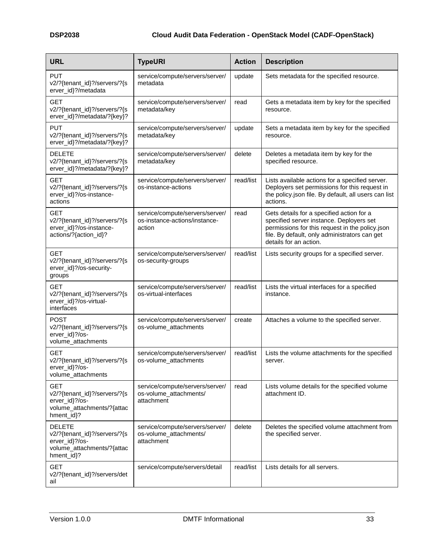| <b>URL</b>                                                                                                  | <b>TypeURI</b>                                                             | <b>Action</b> | <b>Description</b>                                                                                                                                                                                                  |
|-------------------------------------------------------------------------------------------------------------|----------------------------------------------------------------------------|---------------|---------------------------------------------------------------------------------------------------------------------------------------------------------------------------------------------------------------------|
| <b>PUT</b><br>v2/?{tenant_id}?/servers/?{s<br>erver_id}?/metadata                                           | service/compute/servers/server/<br>metadata                                | update        | Sets metadata for the specified resource.                                                                                                                                                                           |
| <b>GET</b><br>v2/?{tenant_id}?/servers/?{s<br>erver_id}?/metadata/?{key}?                                   | service/compute/servers/server/<br>metadata/key                            | read          | Gets a metadata item by key for the specified<br>resource.                                                                                                                                                          |
| <b>PUT</b><br>v2/?{tenant_id}?/servers/?{s<br>erver_id}?/metadata/?{key}?                                   | service/compute/servers/server/<br>metadata/key                            | update        | Sets a metadata item by key for the specified<br>resource.                                                                                                                                                          |
| <b>DELETE</b><br>v2/?{tenant_id}?/servers/?{s<br>erver_id}?/metadata/?{key}?                                | service/compute/servers/server/<br>metadata/key                            | delete        | Deletes a metadata item by key for the<br>specified resource.                                                                                                                                                       |
| <b>GET</b><br>v2/?{tenant_id}?/servers/?{s<br>erver_id}?/os-instance-<br>actions                            | service/compute/servers/server/<br>os-instance-actions                     | read/list     | Lists available actions for a specified server.<br>Deployers set permissions for this request in<br>the policy.json file. By default, all users can list<br>actions.                                                |
| <b>GET</b><br>v2/?{tenant_id}?/servers/?{s<br>erver_id}?/os-instance-<br>actions/?{action_id}?              | service/compute/servers/server/<br>os-instance-actions/instance-<br>action | read          | Gets details for a specified action for a<br>specified server instance. Deployers set<br>permissions for this request in the policy.json<br>file. By default, only administrators can get<br>details for an action. |
| <b>GET</b><br>v2/?{tenant_id}?/servers/?{s<br>erver_id}?/os-security-<br>groups                             | service/compute/servers/server/<br>os-security-groups                      | read/list     | Lists security groups for a specified server.                                                                                                                                                                       |
| <b>GET</b><br>v2/?{tenant_id}?/servers/?{s<br>erver_id}?/os-virtual-<br>interfaces                          | service/compute/servers/server/<br>os-virtual-interfaces                   | read/list     | Lists the virtual interfaces for a specified<br>instance.                                                                                                                                                           |
| <b>POST</b><br>v2/?{tenant_id}?/servers/?{s<br>erver_id}?/os-<br>volume_attachments                         | service/compute/servers/server/<br>os-volume_attachments                   | create        | Attaches a volume to the specified server.                                                                                                                                                                          |
| <b>GET</b><br>v2/?{tenant_id}?/servers/?{s<br>erver_id}?/os-<br>volume_attachments                          | service/compute/servers/server/<br>os-volume_attachments                   | read/list     | Lists the volume attachments for the specified<br>server.                                                                                                                                                           |
| <b>GET</b><br>v2/?{tenant_id}?/servers/?{s<br>erver_id}?/os-<br>volume_attachments/?{attac<br>hment_id}?    | service/compute/servers/server/<br>os-volume_attachments/<br>attachment    | read          | Lists volume details for the specified volume<br>attachment ID.                                                                                                                                                     |
| <b>DELETE</b><br>v2/?{tenant_id}?/servers/?{s<br>erver_id}?/os-<br>volume_attachments/?{attac<br>hment_id}? | service/compute/servers/server/<br>os-volume_attachments/<br>attachment    | delete        | Deletes the specified volume attachment from<br>the specified server.                                                                                                                                               |
| <b>GET</b><br>v2/?{tenant_id}?/servers/det<br>ail                                                           | service/compute/servers/detail                                             | read/list     | Lists details for all servers.                                                                                                                                                                                      |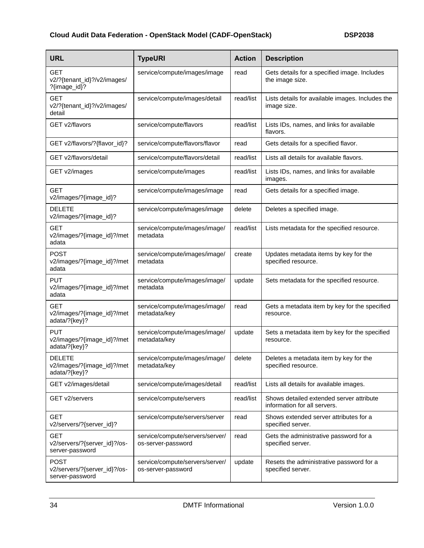| <b>URL</b>                                                     | <b>TypeURI</b>                                        | <b>Action</b> | <b>Description</b>                                                       |
|----------------------------------------------------------------|-------------------------------------------------------|---------------|--------------------------------------------------------------------------|
| <b>GET</b><br>v2/?{tenant_id}?/v2/images/<br>?{image_id}?      | service/compute/images/image                          | read          | Gets details for a specified image. Includes<br>the image size.          |
| <b>GET</b><br>v2/?{tenant_id}?/v2/images/<br>detail            | service/compute/images/detail                         | read/list     | Lists details for available images. Includes the<br>image size.          |
| GET v2/flavors                                                 | service/compute/flavors                               | read/list     | Lists IDs, names, and links for available<br>flavors.                    |
| GET v2/flavors/?{flavor_id}?                                   | service/compute/flavors/flavor                        | read          | Gets details for a specified flavor.                                     |
| GET v2/flavors/detail                                          | service/compute/flavors/detail                        | read/list     | Lists all details for available flavors.                                 |
| GET v2/images                                                  | service/compute/images                                | read/list     | Lists IDs, names, and links for available<br>images.                     |
| <b>GET</b><br>v2/images/?{image_id}?                           | service/compute/images/image                          | read          | Gets details for a specified image.                                      |
| <b>DELETE</b><br>v2/images/?{image_id}?                        | service/compute/images/image                          | delete        | Deletes a specified image.                                               |
| <b>GET</b><br>v2/images/?{image_id}?/met<br>adata              | service/compute/images/image/<br>metadata             | read/list     | Lists metadata for the specified resource.                               |
| <b>POST</b><br>v2/images/?{image_id}?/met<br>adata             | service/compute/images/image/<br>metadata             | create        | Updates metadata items by key for the<br>specified resource.             |
| <b>PUT</b><br>v2/images/?{image_id}?/met<br>adata              | service/compute/images/image/<br>metadata             | update        | Sets metadata for the specified resource.                                |
| <b>GET</b><br>v2/images/?{image_id}?/met<br>adata/?{key}?      | service/compute/images/image/<br>metadata/key         | read          | Gets a metadata item by key for the specified<br>resource.               |
| <b>PUT</b><br>v2/images/?{image_id}?/met<br>adata/?{key}?      | service/compute/images/image/<br>metadata/key         | update        | Sets a metadata item by key for the specified<br>resource.               |
| <b>DELETE</b><br>v2/images/?{image_id}?/met<br>adata/?{key}?   | service/compute/images/image/<br>metadata/key         | delete        | Deletes a metadata item by key for the<br>specified resource.            |
| GET v2/images/detail                                           | service/compute/images/detail                         | read/list     | Lists all details for available images.                                  |
| GET v2/servers                                                 | service/compute/servers                               | read/list     | Shows detailed extended server attribute<br>information for all servers. |
| <b>GET</b><br>v2/servers/?{server_id}?                         | service/compute/servers/server                        | read          | Shows extended server attributes for a<br>specified server.              |
| <b>GET</b><br>v2/servers/?{server_id}?/os-<br>server-password  | service/compute/servers/server/<br>os-server-password | read          | Gets the administrative password for a<br>specified server.              |
| <b>POST</b><br>v2/servers/?{server_id}?/os-<br>server-password | service/compute/servers/server/<br>os-server-password | update        | Resets the administrative password for a<br>specified server.            |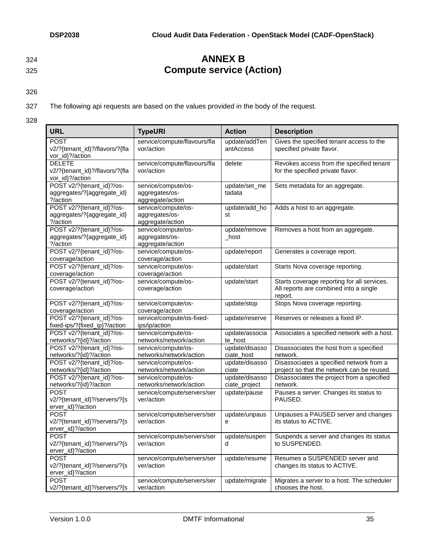<span id="page-34-0"></span>

## 324 **ANNEX B** 325 **Compute service (Action)**

326

327 The following api requests are based on the values provided in the body of the request.

| <b>URL</b>                                                          | <b>TypeURI</b>                                            | <b>Action</b>                   | <b>Description</b>                                                                               |
|---------------------------------------------------------------------|-----------------------------------------------------------|---------------------------------|--------------------------------------------------------------------------------------------------|
| <b>POST</b><br>v2/?{tenant_id}?/flavors/?{fla<br>vor_id}?/action    | service/compute/flavours/fla<br>vor/action                | update/addTen<br>antAccess      | Gives the specified tenant access to the<br>specified private flavor.                            |
| <b>DELETE</b><br>v2/?{tenant_id}?/flavors/?{fla<br>vor_id}?/action  | service/compute/flavours/fla<br>vor/action                | delete                          | Revokes access from the specified tenant<br>for the specified private flavor.                    |
| POST v2/?{tenant_id}?/os-<br>aggregates/?{aggregate_id}<br>?/action | service/compute/os-<br>aggregates/os-<br>aggregate/action | update/set_me<br>tadata         | Sets metadata for an aggregate.                                                                  |
| POST v2/?{tenant_id}?/os-<br>aggregates/?{aggregate_id}<br>?/action | service/compute/os-<br>aggregates/os-<br>aggregate/action | update/add_ho<br>st             | Adds a host to an aggregate.                                                                     |
| POST v2/?{tenant_id}?/os-<br>aggregates/?{aggregate_id}<br>?/action | service/compute/os-<br>aggregates/os-<br>aggregate/action | update/remove<br>host           | Removes a host from an aggregate.                                                                |
| POST v2/?{tenant_id}?/os-<br>coverage/action                        | service/compute/os-<br>coverage/action                    | update/report                   | Generates a coverage report.                                                                     |
| POST v2/?{tenant_id}?/os-<br>coverage/action                        | service/compute/os-<br>coverage/action                    | update/start                    | Starts Nova coverage reporting.                                                                  |
| POST v2/?{tenant_id}?/os-<br>coverage/action                        | service/compute/os-<br>coverage/action                    | update/start                    | Starts coverage reporting for all services.<br>All reports are combined into a single<br>report. |
| POST v2/?{tenant_id}?/os-<br>coverage/action                        | service/compute/os-<br>coverage/action                    | update/stop                     | Stops Nova coverage reporting.                                                                   |
| POST v2/?{tenant_id}?/os-<br>fixed-ips/?{fixed_ip}?/action          | service/compute/os-fixed-<br>ips/ip/action                | update/reserve                  | Reserves or releases a fixed IP.                                                                 |
| POST v2/?{tenant_id}?/os-<br>networks/?{id}?/action                 | service/compute/os-<br>networks/network/action            | update/associa<br>te_host       | Associates a specified network with a host.                                                      |
| POST v2/?{tenant_id}?/os-<br>networks/?{id}?/action                 | service/compute/os-<br>networks/network/action            | update/disasso<br>ciate_host    | Disassociates the host from a specified<br>network.                                              |
| POST v2/?{tenant_id}?/os-<br>networks/?{id}?/action                 | service/compute/os-<br>networks/network/action            | update/disasso<br>ciate         | Disassociates a specified network from a<br>project so that the network can be reused.           |
| POST v2/?{tenant_id}?/os-<br>networks/?{id}?/action                 | service/compute/os-<br>networks/network/action            | update/disasso<br>ciate_project | Disassociates the project from a specified<br>network.                                           |
| <b>POST</b><br>v2/?{tenant_id}?/servers/?{s<br>erver_id}?/action    | service/compute/servers/ser<br>ver/action                 | update/pause                    | Pauses a server. Changes its status to<br>PAUSED.                                                |
| <b>POST</b><br>v2/?{tenant_id}?/servers/?{s<br>erver_id}?/action    | service/compute/servers/ser<br>ver/action                 | update/unpaus<br>е              | Unpauses a PAUSED server and changes<br>its status to ACTIVE.                                    |
| <b>POST</b><br>v2/?{tenant_id}?/servers/?{s<br>erver_id}?/action    | service/compute/servers/ser<br>ver/action                 | update/suspen<br>d              | Suspends a server and changes its status<br>to SUSPENDED.                                        |
| <b>POST</b><br>v2/?{tenant_id}?/servers/?{s<br>erver_id}?/action    | service/compute/servers/ser<br>ver/action                 | update/resume                   | Resumes a SUSPENDED server and<br>changes its status to ACTIVE.                                  |
| <b>POST</b><br>v2/?{tenant_id}?/servers/?{s                         | service/compute/servers/ser<br>ver/action                 | update/migrate                  | Migrates a server to a host. The scheduler<br>chooses the host.                                  |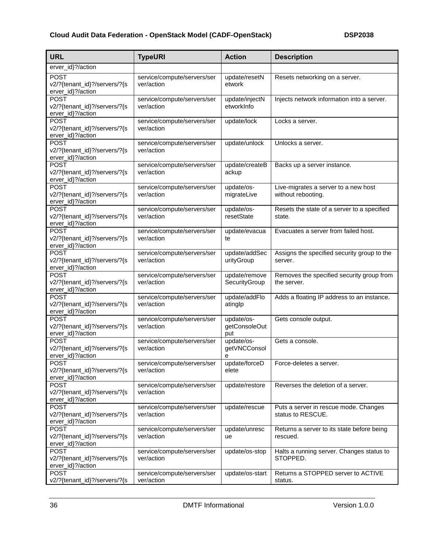| <b>URL</b>                                                       | <b>TypeURI</b>                            | <b>Action</b>                      | <b>Description</b>                                         |
|------------------------------------------------------------------|-------------------------------------------|------------------------------------|------------------------------------------------------------|
| erver_id}?/action                                                |                                           |                                    |                                                            |
| <b>POST</b><br>v2/?{tenant_id}?/servers/?{s<br>erver_id}?/action | service/compute/servers/ser<br>ver/action | update/resetN<br>etwork            | Resets networking on a server.                             |
| <b>POST</b><br>v2/?{tenant_id}?/servers/?{s<br>erver_id}?/action | service/compute/servers/ser<br>ver/action | update/injectN<br>etworkInfo       | Injects network information into a server.                 |
| <b>POST</b><br>v2/?{tenant_id}?/servers/?{s<br>erver_id}?/action | service/compute/servers/ser<br>ver/action | update/lock                        | Locks a server.                                            |
| <b>POST</b><br>v2/?{tenant_id}?/servers/?{s<br>erver_id}?/action | service/compute/servers/ser<br>ver/action | update/unlock                      | Unlocks a server.                                          |
| <b>POST</b><br>v2/?{tenant_id}?/servers/?{s<br>erver_id}?/action | service/compute/servers/ser<br>ver/action | update/createB<br>ackup            | Backs up a server instance.                                |
| <b>POST</b><br>v2/?{tenant_id}?/servers/?{s<br>erver_id}?/action | service/compute/servers/ser<br>ver/action | update/os-<br>migrateLive          | Live-migrates a server to a new host<br>without rebooting. |
| <b>POST</b><br>v2/?{tenant_id}?/servers/?{s<br>erver_id}?/action | service/compute/servers/ser<br>ver/action | update/os-<br>resetState           | Resets the state of a server to a specified<br>state.      |
| <b>POST</b><br>v2/?{tenant_id}?/servers/?{s<br>erver_id}?/action | service/compute/servers/ser<br>ver/action | update/evacua<br>te                | Evacuates a server from failed host.                       |
| <b>POST</b><br>v2/?{tenant_id}?/servers/?{s<br>erver_id}?/action | service/compute/servers/ser<br>ver/action | update/addSec<br>urityGroup        | Assigns the specified security group to the<br>server.     |
| <b>POST</b><br>v2/?{tenant_id}?/servers/?{s<br>erver_id}?/action | service/compute/servers/ser<br>ver/action | update/remove<br>SecurityGroup     | Removes the specified security group from<br>the server.   |
| <b>POST</b><br>v2/?{tenant_id}?/servers/?{s<br>erver_id}?/action | service/compute/servers/ser<br>ver/action | update/addFlo<br>atinglp           | Adds a floating IP address to an instance.                 |
| <b>POST</b><br>v2/?{tenant_id}?/servers/?{s<br>erver_id}?/action | service/compute/servers/ser<br>ver/action | update/os-<br>getConsoleOut<br>put | Gets console output.                                       |
| <b>POST</b><br>v2/?{tenant_id}?/servers/?{s<br>erver_id}?/action | service/compute/servers/ser<br>ver/action | update/os-<br>getVNCConsol<br>е    | Gets a console.                                            |
| <b>POST</b><br>v2/?{tenant_id}?/servers/?{s<br>erver_id}?/action | service/compute/servers/ser<br>ver/action | update/forceD<br>elete             | Force-deletes a server.                                    |
| <b>POST</b><br>v2/?{tenant_id}?/servers/?{s<br>erver_id}?/action | service/compute/servers/ser<br>ver/action | update/restore                     | Reverses the deletion of a server.                         |
| <b>POST</b><br>v2/?{tenant_id}?/servers/?{s<br>erver_id}?/action | service/compute/servers/ser<br>ver/action | update/rescue                      | Puts a server in rescue mode. Changes<br>status to RESCUE. |
| <b>POST</b><br>v2/?{tenant_id}?/servers/?{s<br>erver_id}?/action | service/compute/servers/ser<br>ver/action | update/unresc<br>ue                | Returns a server to its state before being<br>rescued.     |
| <b>POST</b><br>v2/?{tenant_id}?/servers/?{s<br>erver_id}?/action | service/compute/servers/ser<br>ver/action | update/os-stop                     | Halts a running server. Changes status to<br>STOPPED.      |
| <b>POST</b><br>v2/?{tenant_id}?/servers/?{s                      | service/compute/servers/ser<br>ver/action | update/os-start                    | Returns a STOPPED server to ACTIVE<br>status.              |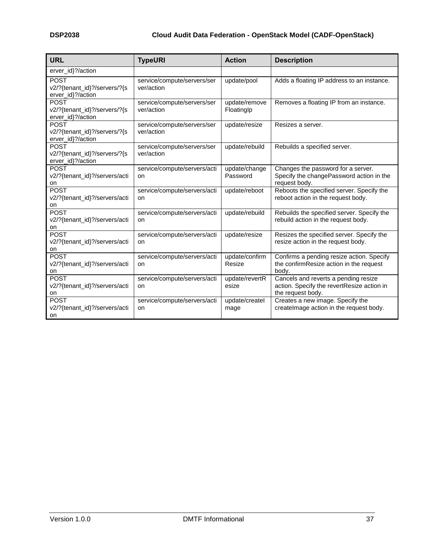| <b>URL</b>                                                       | <b>TypeURI</b>                            | <b>Action</b>               | <b>Description</b>                                                                                      |
|------------------------------------------------------------------|-------------------------------------------|-----------------------------|---------------------------------------------------------------------------------------------------------|
| erver_id}?/action                                                |                                           |                             |                                                                                                         |
| <b>POST</b><br>v2/?{tenant_id}?/servers/?{s<br>erver_id}?/action | service/compute/servers/ser<br>ver/action | update/pool                 | Adds a floating IP address to an instance.                                                              |
| <b>POST</b><br>v2/?{tenant_id}?/servers/?{s<br>erver_id}?/action | service/compute/servers/ser<br>ver/action | update/remove<br>Floatinglp | Removes a floating IP from an instance.                                                                 |
| <b>POST</b><br>v2/?{tenant_id}?/servers/?{s<br>erver_id}?/action | service/compute/servers/ser<br>ver/action | update/resize               | Resizes a server.                                                                                       |
| <b>POST</b><br>v2/?{tenant_id}?/servers/?{s<br>erver_id}?/action | service/compute/servers/ser<br>ver/action | update/rebuild              | Rebuilds a specified server.                                                                            |
| <b>POST</b><br>v2/?{tenant_id}?/servers/acti<br>on               | service/compute/servers/acti<br><b>on</b> | update/change<br>Password   | Changes the password for a server.<br>Specify the changePassword action in the<br>request body.         |
| <b>POST</b><br>v2/?{tenant_id}?/servers/acti<br>on               | service/compute/servers/acti<br>on        | update/reboot               | Reboots the specified server. Specify the<br>reboot action in the request body.                         |
| <b>POST</b><br>v2/?{tenant_id}?/servers/acti<br>on               | service/compute/servers/acti<br>on        | update/rebuild              | Rebuilds the specified server. Specify the<br>rebuild action in the request body.                       |
| <b>POST</b><br>v2/?{tenant_id}?/servers/acti<br>on               | service/compute/servers/acti<br>on        | update/resize               | Resizes the specified server. Specify the<br>resize action in the request body.                         |
| <b>POST</b><br>v2/?{tenant_id}?/servers/acti<br>on               | service/compute/servers/acti<br>on        | update/confirm<br>Resize    | Confirms a pending resize action. Specify<br>the confirmResize action in the request<br>body.           |
| <b>POST</b><br>v2/?{tenant_id}?/servers/acti<br>on               | service/compute/servers/acti<br>on        | update/revertR<br>esize     | Cancels and reverts a pending resize<br>action. Specify the revertResize action in<br>the request body. |
| <b>POST</b><br>v2/?{tenant_id}?/servers/acti<br>on               | service/compute/servers/acti<br>on        | update/createl<br>mage      | Creates a new image. Specify the<br>createlmage action in the request body.                             |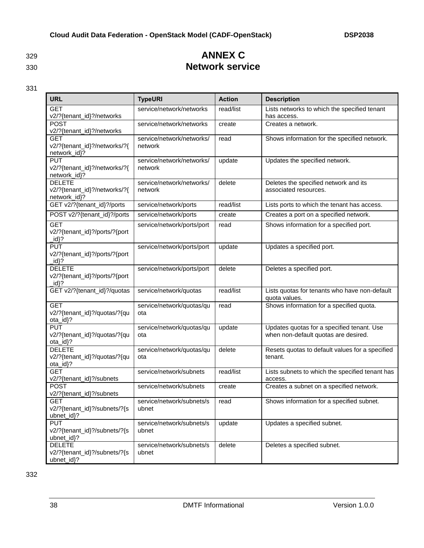<span id="page-37-0"></span>

## 329 **ANNEX C** 330 **Network service**

331

| <b>URL</b>                                                    | <b>TypeURI</b>                       | <b>Action</b> | <b>Description</b>                                                                 |
|---------------------------------------------------------------|--------------------------------------|---------------|------------------------------------------------------------------------------------|
| <b>GET</b><br>v2/?{tenant_id}?/networks                       | service/network/networks             | read/list     | Lists networks to which the specified tenant<br>has access.                        |
| <b>POST</b><br>v2/?{tenant_id}?/networks                      | service/network/networks             | create        | Creates a network.                                                                 |
| <b>GET</b><br>v2/?{tenant_id}?/networks/?{<br>network_id}?    | service/network/networks/<br>network | read          | Shows information for the specified network.                                       |
| <b>PUT</b><br>v2/?{tenant_id}?/networks/?{<br>network_id}?    | service/network/networks/<br>network | update        | Updates the specified network.                                                     |
| <b>DELETE</b><br>v2/?{tenant_id}?/networks/?{<br>network_id}? | service/network/networks/<br>network | delete        | Deletes the specified network and its<br>associated resources.                     |
| GET v2/?{tenant_id}?/ports                                    | service/network/ports                | read/list     | Lists ports to which the tenant has access.                                        |
| POST v2/?{tenant_id}?/ports                                   | service/network/ports                | create        | Creates a port on a specified network.                                             |
| <b>GET</b><br>v2/?{tenant_id}?/ports/?{port<br>_id}?          | service/network/ports/port           | read          | Shows information for a specified port.                                            |
| <b>PUT</b><br>v2/?{tenant_id}?/ports/?{port<br>id}?           | service/network/ports/port           | update        | Updates a specified port.                                                          |
| <b>DELETE</b><br>v2/?{tenant_id}?/ports/?{port<br>id}?        | service/network/ports/port           | delete        | Deletes a specified port.                                                          |
| GET v2/?{tenant_id}?/quotas                                   | service/network/quotas               | read/list     | Lists quotas for tenants who have non-default<br>quota values.                     |
| <b>GET</b><br>v2/?{tenant_id}?/quotas/?{qu<br>ota_id}?        | service/network/quotas/qu<br>ota     | read          | Shows information for a specified quota.                                           |
| <b>PUT</b><br>v2/?{tenant_id}?/quotas/?{qu<br>ota_id}?        | service/network/quotas/qu<br>ota     | update        | Updates quotas for a specified tenant. Use<br>when non-default quotas are desired. |
| <b>DELETE</b><br>v2/?{tenant_id}?/quotas/?{qu<br>ota_id}?     | service/network/quotas/qu<br>ota     | delete        | Resets quotas to default values for a specified<br>tenant.                         |
| <b>GET</b><br>v2/?{tenant_id}?/subnets                        | service/network/subnets              | read/list     | Lists subnets to which the specified tenant has<br>access.                         |
| <b>POST</b><br>v2/?{tenant_id}?/subnets                       | service/network/subnets              | create        | Creates a subnet on a specified network.                                           |
| <b>GET</b><br>v2/?{tenant_id}?/subnets/?{s<br>ubnet_id}?      | service/network/subnets/s<br>ubnet   | read          | Shows information for a specified subnet.                                          |
| <b>PUT</b><br>v2/?{tenant_id}?/subnets/?{s<br>ubnet_id}?      | service/network/subnets/s<br>ubnet   | update        | Updates a specified subnet.                                                        |
| <b>DELETE</b><br>v2/?{tenant_id}?/subnets/?{s<br>ubnet_id}?   | service/network/subnets/s<br>ubnet   | delete        | Deletes a specified subnet.                                                        |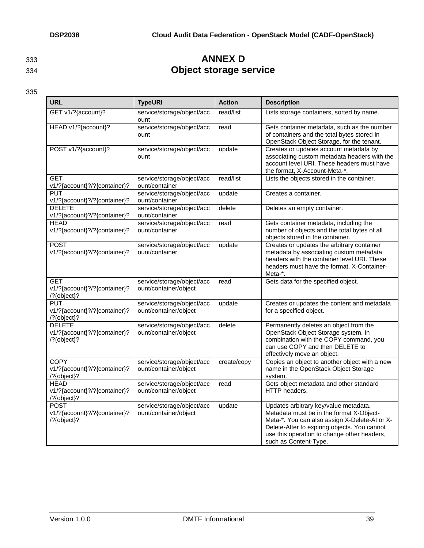<span id="page-38-0"></span>

## 333 **ANNEX D** 334 **Object storage service**

| <b>URL</b>                                                   | <b>TypeURI</b>                                      | <b>Action</b>                                                                                                                                   | <b>Description</b>                                                                                                                                                                                                                                         |
|--------------------------------------------------------------|-----------------------------------------------------|-------------------------------------------------------------------------------------------------------------------------------------------------|------------------------------------------------------------------------------------------------------------------------------------------------------------------------------------------------------------------------------------------------------------|
| GET v1/?{account}?                                           | service/storage/object/acc<br>ount                  | read/list                                                                                                                                       | Lists storage containers, sorted by name.                                                                                                                                                                                                                  |
| HEAD v1/?{account}?                                          | service/storage/object/acc<br>ount                  | Gets container metadata, such as the number<br>read<br>of containers and the total bytes stored in<br>OpenStack Object Storage, for the tenant. |                                                                                                                                                                                                                                                            |
| POST v1/?{account}?                                          | service/storage/object/acc<br>ount                  | update                                                                                                                                          | Creates or updates account metadata by<br>associating custom metadata headers with the<br>account level URI. These headers must have<br>the format, X-Account-Meta-*.                                                                                      |
| <b>GET</b><br>v1/?{account}?/?{container}?                   | service/storage/object/acc<br>ount/container        | read/list                                                                                                                                       | Lists the objects stored in the container.                                                                                                                                                                                                                 |
| <b>PUT</b><br>v1/?{account}?/?{container}?                   | service/storage/object/acc<br>ount/container        | update                                                                                                                                          | Creates a container.                                                                                                                                                                                                                                       |
| <b>DELETE</b><br>v1/?{account}?/?{container}?                | service/storage/object/acc<br>ount/container        | delete                                                                                                                                          | Deletes an empty container.                                                                                                                                                                                                                                |
| <b>HEAD</b><br>v1/?{account}?/?{container}?                  | service/storage/object/acc<br>ount/container        | read                                                                                                                                            | Gets container metadata, including the<br>number of objects and the total bytes of all<br>objects stored in the container.                                                                                                                                 |
| <b>POST</b><br>v1/?{account}?/?{container}?                  | service/storage/object/acc<br>ount/container        | update                                                                                                                                          | Creates or updates the arbitrary container<br>metadata by associating custom metadata<br>headers with the container level URI. These<br>headers must have the format, X-Container-<br>Meta-*.                                                              |
| <b>GET</b><br>v1/?{account}?/?{container}?<br>/?{object}?    | service/storage/object/acc<br>ount/container/object | read                                                                                                                                            | Gets data for the specified object.                                                                                                                                                                                                                        |
| PUT<br>v1/?{account}?/?{container}?<br>/?{object}?           | service/storage/object/acc<br>ount/container/object | update                                                                                                                                          | Creates or updates the content and metadata<br>for a specified object.                                                                                                                                                                                     |
| <b>DELETE</b><br>v1/?{account}?/?{container}?<br>/?{object}? | service/storage/object/acc<br>ount/container/object | delete                                                                                                                                          | Permanently deletes an object from the<br>OpenStack Object Storage system. In<br>combination with the COPY command, you<br>can use COPY and then DELETE to<br>effectively move an object.                                                                  |
| <b>COPY</b><br>v1/?{account}?/?{container}?<br>/?{object}?   | service/storage/object/acc<br>ount/container/object | create/copy                                                                                                                                     | Copies an object to another object with a new<br>name in the OpenStack Object Storage<br>system.                                                                                                                                                           |
| <b>HEAD</b><br>v1/?{account}?/?{container}?<br>/?{object}?   | service/storage/object/acc<br>ount/container/object | read                                                                                                                                            | Gets object metadata and other standard<br>HTTP headers.                                                                                                                                                                                                   |
| <b>POST</b><br>v1/?{account}?/?{container}?<br>/?{object}?   | service/storage/object/acc<br>ount/container/object | update                                                                                                                                          | Updates arbitrary key/value metadata.<br>Metadata must be in the format X-Object-<br>Meta-*. You can also assign X-Delete-At or X-<br>Delete-After to expiring objects. You cannot<br>use this operation to change other headers,<br>such as Content-Type. |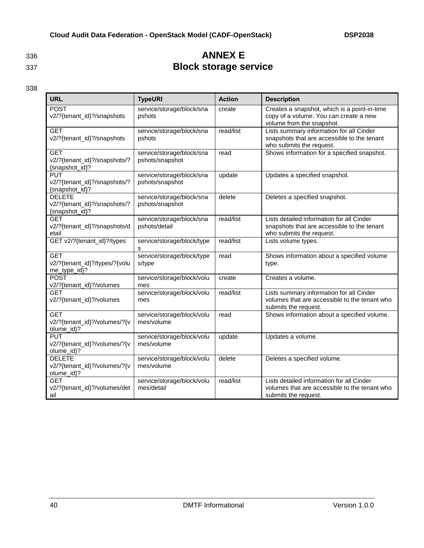<span id="page-39-0"></span>

## 336 **ANNEX E** 337 **Block storage service**

| <b>URL</b>                                                      | <b>TypeURI</b>                               | <b>Action</b> | <b>Description</b>                                                                                                   |
|-----------------------------------------------------------------|----------------------------------------------|---------------|----------------------------------------------------------------------------------------------------------------------|
| <b>POST</b><br>v2/?{tenant_id}?/snapshots                       | service/storage/block/sna<br>pshots          | create        | Creates a snapshot, which is a point-in-time<br>copy of a volume. You can create a new<br>volume from the snapshot.  |
| <b>GET</b><br>v2/?{tenant_id}?/snapshots                        | service/storage/block/sna<br>pshots          | read/list     | Lists summary information for all Cinder<br>snapshots that are accessible to the tenant<br>who submits the request.  |
| <b>GET</b><br>v2/?{tenant_id}?/snapshots/?<br>{snapshot_id}?    | service/storage/block/sna<br>pshots/snapshot | read          | Shows information for a specified snapshot.                                                                          |
| <b>PUT</b><br>v2/?{tenant_id}?/snapshots/?<br>{snapshot_id}?    | service/storage/block/sna<br>pshots/snapshot | update        | Updates a specified snapshot.                                                                                        |
| <b>DELETE</b><br>v2/?{tenant_id}?/snapshots/?<br>{snapshot_id}? | service/storage/block/sna<br>pshots/snapshot | delete        | Deletes a specified snapshot.                                                                                        |
| <b>GET</b><br>v2/?{tenant_id}?/snapshots/d<br>etail             | service/storage/block/sna<br>pshots/detail   | read/list     | Lists detailed information for all Cinder<br>snapshots that are accessible to the tenant<br>who submits the request. |
| GET v2/?{tenant_id}?/types                                      | service/storage/block/type<br>S              | read/list     | Lists volume types.                                                                                                  |
| <b>GET</b><br>v2/?{tenant_id}?/types/?{volu<br>me_type_id}?     | service/storage/block/type<br>s/type         | read          | Shows information about a specified volume<br>type.                                                                  |
| <b>POST</b><br>v2/?{tenant_id}?/volumes                         | service/storage/block/volu<br>mes            | create        | Creates a volume.                                                                                                    |
| <b>GET</b><br>v2/?{tenant_id}?/volumes                          | service/storage/block/volu<br>mes            | read/list     | Lists summary information for all Cinder<br>volumes that are accessible to the tenant who<br>submits the request.    |
| <b>GET</b><br>v2/?{tenant_id}?/volumes/?{v<br>olume_id}?        | service/storage/block/volu<br>mes/volume     | read          | Shows information about a specified volume.                                                                          |
| <b>PUT</b><br>v2/?{tenant_id}?/volumes/?{v<br>olume_id}?        | service/storage/block/volu<br>mes/volume     | update        | Updates a volume.                                                                                                    |
| <b>DELETE</b><br>v2/?{tenant_id}?/volumes/?{v<br>olume_id}?     | service/storage/block/volu<br>mes/volume     | delete        | Deletes a specified volume.                                                                                          |
| <b>GET</b><br>v2/?{tenant_id}?/volumes/det<br>ail               | service/storage/block/volu<br>mes/detail     | read/list     | Lists detailed information for all Cinder<br>volumes that are accessible to the tenant who<br>submits the request.   |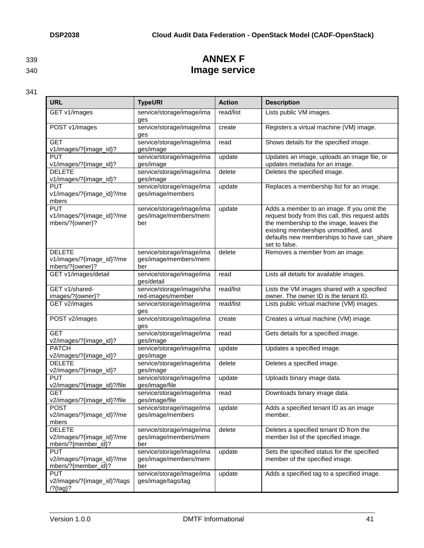<span id="page-40-0"></span>

## 339 **ANNEX F** 340 **Image service**

| <b>URL</b>                                                        | <b>TypeURI</b>                                            | <b>Action</b> | <b>Description</b>                                                                                                                                                                                                                             |
|-------------------------------------------------------------------|-----------------------------------------------------------|---------------|------------------------------------------------------------------------------------------------------------------------------------------------------------------------------------------------------------------------------------------------|
| GET v1/images                                                     | service/storage/image/ima<br>ges                          | read/list     | Lists public VM images.                                                                                                                                                                                                                        |
| POST v1/images                                                    | service/storage/image/ima<br>ges                          | create        | Registers a virtual machine (VM) image.                                                                                                                                                                                                        |
| <b>GET</b><br>v1/images/?{image_id}?                              | service/storage/image/ima<br>ges/image                    | read          | Shows details for the specified image.                                                                                                                                                                                                         |
| <b>PUT</b><br>v1/images/?{image_id}?                              | service/storage/image/ima<br>ges/image                    | update        | Updates an image, uploads an image file, or<br>updates metadata for an image.                                                                                                                                                                  |
| <b>DELETE</b><br>v1/images/?{image_id}?                           | service/storage/image/ima<br>ges/image                    | delete        | Deletes the specified image.                                                                                                                                                                                                                   |
| <b>PUT</b><br>v1/images/?{image_id}?/me<br>mbers                  | service/storage/image/ima<br>ges/image/members            | update        | Replaces a membership list for an image.                                                                                                                                                                                                       |
| <b>PUT</b><br>v1/images/?{image_id}?/me<br>mbers/?{owner}?        | service/storage/image/ima<br>ges/image/members/mem<br>ber | update        | Adds a member to an image. If you omit the<br>request body from this call, this request adds<br>the membership to the image, leaves the<br>existing memberships unmodified, and<br>defaults new memberships to have can_share<br>set to false. |
| <b>DELETE</b><br>v1/images/?{image_id}?/me<br>mbers/?{owner}?     | service/storage/image/ima<br>ges/image/members/mem<br>ber | delete        | Removes a member from an image.                                                                                                                                                                                                                |
| GET v1/images/detail                                              | service/storage/image/ima<br>aes/detail                   | read          | Lists all details for available images.                                                                                                                                                                                                        |
| GET v1/shared-<br>images/?{owner}?                                | service/storage/image/sha<br>red-images/member            | read/list     | Lists the VM images shared with a specified<br>owner. The owner ID is the tenant ID.                                                                                                                                                           |
| GET v2/images                                                     | service/storage/image/ima<br>ges                          | read/list     | Lists public virtual machine (VM) images.                                                                                                                                                                                                      |
| POST v2/images                                                    | service/storage/image/ima<br>ges                          | create        | Creates a virtual machine (VM) image.                                                                                                                                                                                                          |
| <b>GET</b><br>v2/images/?{image_id}?                              | service/storage/image/ima<br>ges/image                    | read          | Gets details for a specified image.                                                                                                                                                                                                            |
| <b>PATCH</b><br>v2/images/?{image_id}?                            | service/storage/image/ima<br>ges/image                    | update        | Updates a specified image.                                                                                                                                                                                                                     |
| <b>DELETE</b><br>v2/images/?{image_id}?                           | service/storage/image/ima<br>ges/image                    | delete        | Deletes a specified image.                                                                                                                                                                                                                     |
| <b>PUT</b><br>v2/images/?{image_id}?/file                         | service/storage/image/ima<br>ges/image/file               | update        | Uploads binary image data.                                                                                                                                                                                                                     |
| <b>GET</b><br>v2/images/?{image_id}?/file                         | service/storage/image/ima<br>ges/image/file               | read          | Downloads binary image data.                                                                                                                                                                                                                   |
| <b>POST</b><br>v2/images/?{image_id}?/me<br>mbers                 | service/storage/image/ima<br>ges/image/members            | update        | Adds a specified tenant ID as an image<br>member.                                                                                                                                                                                              |
| <b>DELETE</b><br>v2/images/?{image_id}?/me<br>mbers/?{member_id}? | service/storage/image/ima<br>ges/image/members/mem<br>ber | delete        | Deletes a specified tenant ID from the<br>member list of the specified image.                                                                                                                                                                  |
| <b>PUT</b><br>v2/images/?{image_id}?/me<br>mbers/?{member_id}?    | service/storage/image/ima<br>ges/image/members/mem<br>ber | update        | Sets the specified status for the specified<br>member of the specified image.                                                                                                                                                                  |
| <b>PUT</b><br>v2/images/?{image_id}?/tags<br>$/?$ {tag}?          | service/storage/image/ima<br>ges/image/tags/tag           | update        | Adds a specified tag to a specified image.                                                                                                                                                                                                     |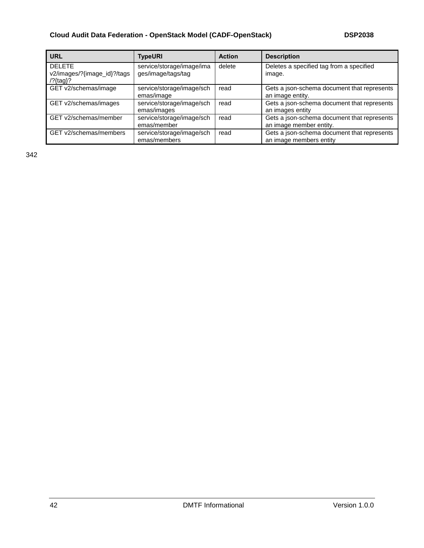| <b>URL</b>                                               | <b>TypeURI</b>                                  | <b>Action</b> | <b>Description</b>                                                     |
|----------------------------------------------------------|-------------------------------------------------|---------------|------------------------------------------------------------------------|
| <b>DELETE</b><br>v2/images/?{image_id}?/tags<br>/?{tag}? | service/storage/image/ima<br>ges/image/tags/tag | delete        | Deletes a specified tag from a specified<br>image.                     |
| GET v2/schemas/image                                     | service/storage/image/sch<br>emas/image         | read          | Gets a json-schema document that represents<br>an image entity.        |
| GET v2/schemas/images                                    | service/storage/image/sch<br>emas/images        | read          | Gets a json-schema document that represents<br>an images entity        |
| GET v2/schemas/member                                    | service/storage/image/sch<br>emas/member        | read          | Gets a json-schema document that represents<br>an image member entity. |
| GET v2/schemas/members                                   | service/storage/image/sch<br>emas/members       | read          | Gets a json-schema document that represents<br>an image members entity |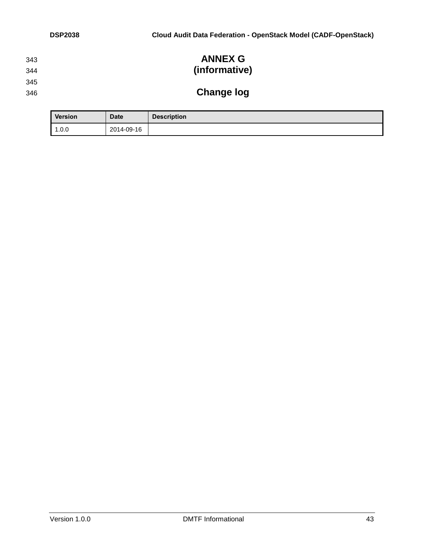<span id="page-42-0"></span>

| 343<br>344 | <b>ANNEX G</b><br>(informative) |  |
|------------|---------------------------------|--|
| 345        |                                 |  |
| 346        | <b>Change log</b>               |  |
|            |                                 |  |
|            |                                 |  |

| <b>Version</b> | <b>Date</b> | <b>Description</b> |
|----------------|-------------|--------------------|
| 1.0.0          | 2014-09-16  |                    |